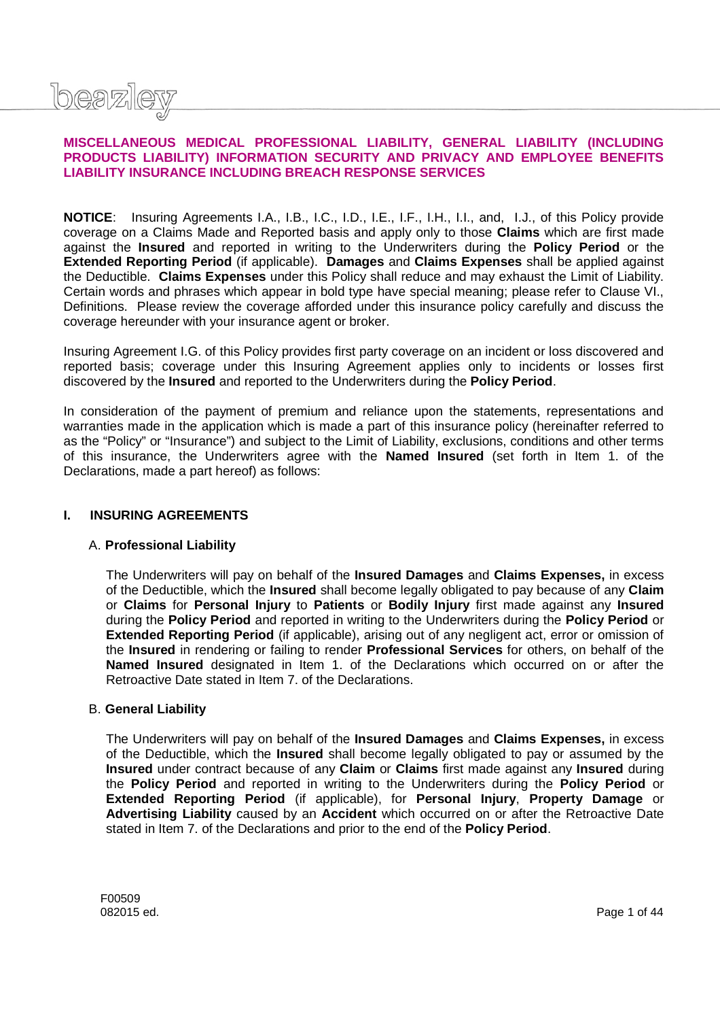

### **MISCELLANEOUS MEDICAL PROFESSIONAL LIABILITY, GENERAL LIABILITY (INCLUDING PRODUCTS LIABILITY) INFORMATION SECURITY AND PRIVACY AND EMPLOYEE BENEFITS LIABILITY INSURANCE INCLUDING BREACH RESPONSE SERVICES**

**NOTICE**: Insuring Agreements I.A., I.B., I.C., I.D., I.E., I.F., I.H., I.I., and, I.J., of this Policy provide coverage on a Claims Made and Reported basis and apply only to those **Claims** which are first made against the **Insured** and reported in writing to the Underwriters during the **Policy Period** or the **Extended Reporting Period** (if applicable). **Damages** and **Claims Expenses** shall be applied against the Deductible. **Claims Expenses** under this Policy shall reduce and may exhaust the Limit of Liability. Certain words and phrases which appear in bold type have special meaning; please refer to Clause VI., Definitions. Please review the coverage afforded under this insurance policy carefully and discuss the coverage hereunder with your insurance agent or broker.

Insuring Agreement I.G. of this Policy provides first party coverage on an incident or loss discovered and reported basis; coverage under this Insuring Agreement applies only to incidents or losses first discovered by the **Insured** and reported to the Underwriters during the **Policy Period**.

In consideration of the payment of premium and reliance upon the statements, representations and warranties made in the application which is made a part of this insurance policy (hereinafter referred to as the "Policy" or "Insurance") and subject to the Limit of Liability, exclusions, conditions and other terms of this insurance, the Underwriters agree with the **Named Insured** (set forth in Item 1. of the Declarations, made a part hereof) as follows:

### **I. INSURING AGREEMENTS**

#### A. **Professional Liability**

The Underwriters will pay on behalf of the **Insured Damages** and **Claims Expenses,** in excess of the Deductible, which the **Insured** shall become legally obligated to pay because of any **Claim** or **Claims** for **Personal Injury** to **Patients** or **Bodily Injury** first made against any **Insured** during the **Policy Period** and reported in writing to the Underwriters during the **Policy Period** or **Extended Reporting Period** (if applicable), arising out of any negligent act, error or omission of the **Insured** in rendering or failing to render **Professional Services** for others, on behalf of the **Named Insured** designated in Item 1. of the Declarations which occurred on or after the Retroactive Date stated in Item 7. of the Declarations.

#### B. **General Liability**

The Underwriters will pay on behalf of the **Insured Damages** and **Claims Expenses,** in excess of the Deductible, which the **Insured** shall become legally obligated to pay or assumed by the **Insured** under contract because of any **Claim** or **Claims** first made against any **Insured** during the **Policy Period** and reported in writing to the Underwriters during the **Policy Period** or **Extended Reporting Period** (if applicable), for **Personal Injury**, **Property Damage** or **Advertising Liability** caused by an **Accident** which occurred on or after the Retroactive Date stated in Item 7. of the Declarations and prior to the end of the **Policy Period**.

F00509 082015 ed. Page 1 of 44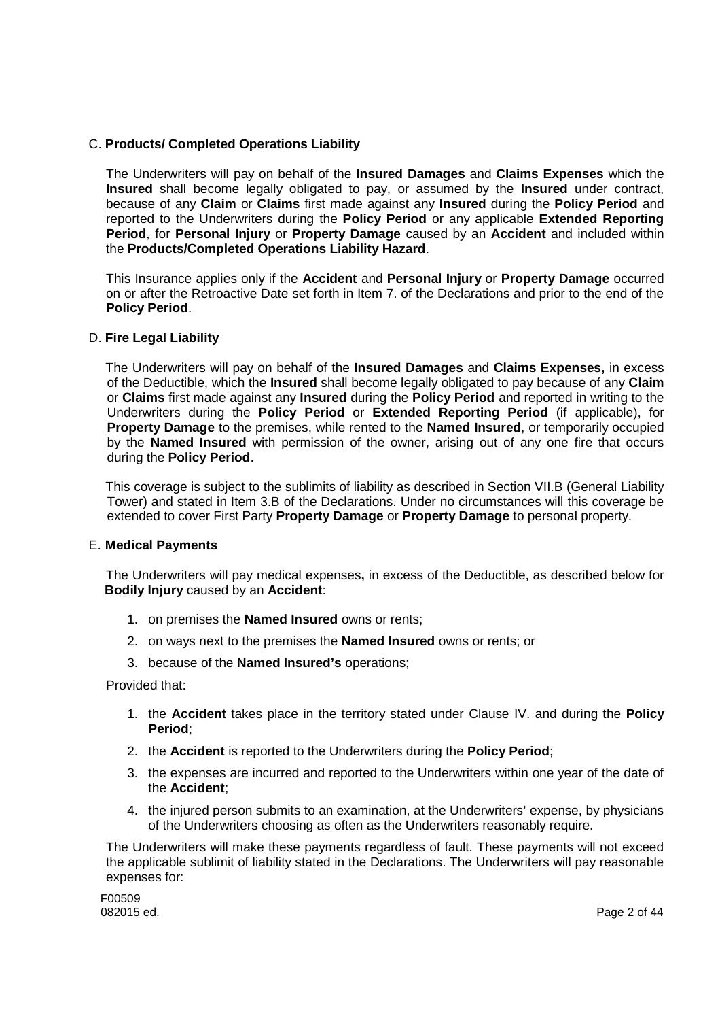# C. **Products/ Completed Operations Liability**

The Underwriters will pay on behalf of the **Insured Damages** and **Claims Expenses** which the **Insured** shall become legally obligated to pay, or assumed by the **Insured** under contract, because of any **Claim** or **Claims** first made against any **Insured** during the **Policy Period** and reported to the Underwriters during the **Policy Period** or any applicable **Extended Reporting Period**, for **Personal Injury** or **Property Damage** caused by an **Accident** and included within the **Products/Completed Operations Liability Hazard**.

This Insurance applies only if the **Accident** and **Personal Injury** or **Property Damage** occurred on or after the Retroactive Date set forth in Item 7. of the Declarations and prior to the end of the **Policy Period**.

### D. **Fire Legal Liability**

The Underwriters will pay on behalf of the **Insured Damages** and **Claims Expenses,** in excess of the Deductible, which the **Insured** shall become legally obligated to pay because of any **Claim** or **Claims** first made against any **Insured** during the **Policy Period** and reported in writing to the Underwriters during the **Policy Period** or **Extended Reporting Period** (if applicable), for **Property Damage** to the premises, while rented to the **Named Insured**, or temporarily occupied by the **Named Insured** with permission of the owner, arising out of any one fire that occurs during the **Policy Period**.

This coverage is subject to the sublimits of liability as described in Section VII.B (General Liability Tower) and stated in Item 3.B of the Declarations. Under no circumstances will this coverage be extended to cover First Party **Property Damage** or **Property Damage** to personal property.

### E. **Medical Payments**

The Underwriters will pay medical expenses**,** in excess of the Deductible, as described below for **Bodily Injury** caused by an **Accident**:

- 1. on premises the **Named Insured** owns or rents;
- 2. on ways next to the premises the **Named Insured** owns or rents; or
- 3. because of the **Named Insured's** operations;

Provided that:

- 1. the **Accident** takes place in the territory stated under Clause IV. and during the **Policy Period**;
- 2. the **Accident** is reported to the Underwriters during the **Policy Period**;
- 3. the expenses are incurred and reported to the Underwriters within one year of the date of the **Accident**;
- 4. the injured person submits to an examination, at the Underwriters' expense, by physicians of the Underwriters choosing as often as the Underwriters reasonably require.

The Underwriters will make these payments regardless of fault. These payments will not exceed the applicable sublimit of liability stated in the Declarations. The Underwriters will pay reasonable expenses for:

F00509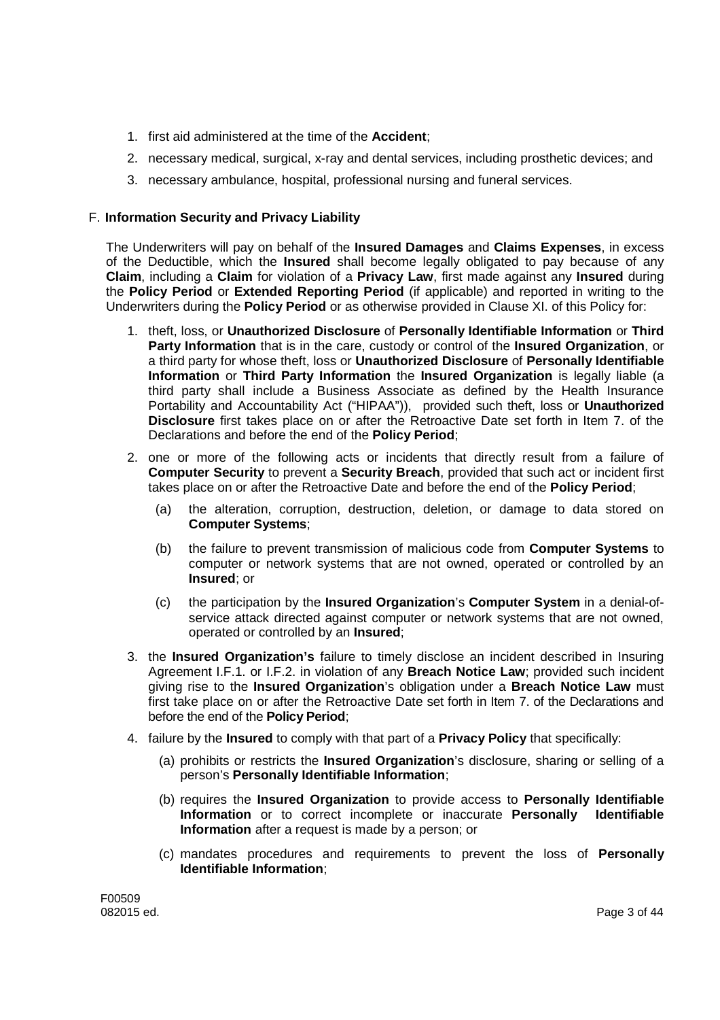- 1. first aid administered at the time of the **Accident**;
- 2. necessary medical, surgical, x-ray and dental services, including prosthetic devices; and
- 3. necessary ambulance, hospital, professional nursing and funeral services.

# F. **Information Security and Privacy Liability**

The Underwriters will pay on behalf of the **Insured Damages** and **Claims Expenses**, in excess of the Deductible, which the **Insured** shall become legally obligated to pay because of any **Claim**, including a **Claim** for violation of a **Privacy Law**, first made against any **Insured** during the **Policy Period** or **Extended Reporting Period** (if applicable) and reported in writing to the Underwriters during the **Policy Period** or as otherwise provided in Clause XI. of this Policy for:

- 1. theft, loss, or **Unauthorized Disclosure** of **Personally Identifiable Information** or **Third Party Information** that is in the care, custody or control of the **Insured Organization**, or a third party for whose theft, loss or **Unauthorized Disclosure** of **Personally Identifiable Information** or **Third Party Information** the **Insured Organization** is legally liable (a third party shall include a Business Associate as defined by the Health Insurance Portability and Accountability Act ("HIPAA")), provided such theft, loss or **Unauthorized Disclosure** first takes place on or after the Retroactive Date set forth in Item 7. of the Declarations and before the end of the **Policy Period**;
- 2. one or more of the following acts or incidents that directly result from a failure of **Computer Security** to prevent a **Security Breach**, provided that such act or incident first takes place on or after the Retroactive Date and before the end of the **Policy Period**;
	- (a) the alteration, corruption, destruction, deletion, or damage to data stored on **Computer Systems**;
	- (b) the failure to prevent transmission of malicious code from **Computer Systems** to computer or network systems that are not owned, operated or controlled by an **Insured**; or
	- (c) the participation by the **Insured Organization**'s **Computer System** in a denial-ofservice attack directed against computer or network systems that are not owned, operated or controlled by an **Insured**;
- 3. the **Insured Organization's** failure to timely disclose an incident described in Insuring Agreement I.F.1. or I.F.2. in violation of any **Breach Notice Law**; provided such incident giving rise to the **Insured Organization**'s obligation under a **Breach Notice Law** must first take place on or after the Retroactive Date set forth in Item 7. of the Declarations and before the end of the **Policy Period**;
- 4. failure by the **Insured** to comply with that part of a **Privacy Policy** that specifically:
	- (a) prohibits or restricts the **Insured Organization**'s disclosure, sharing or selling of a person's **Personally Identifiable Information**;
	- (b) requires the **Insured Organization** to provide access to **Personally Identifiable Information** or to correct incomplete or inaccurate **Personally Identifiable Information** after a request is made by a person; or
	- (c) mandates procedures and requirements to prevent the loss of **Personally Identifiable Information**;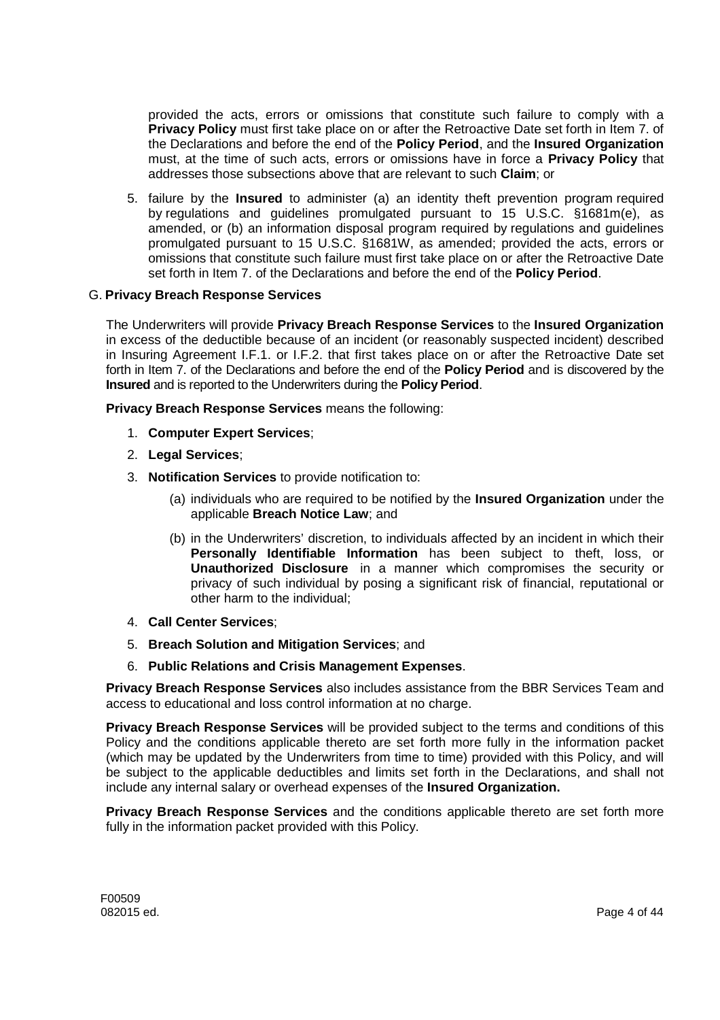provided the acts, errors or omissions that constitute such failure to comply with a **Privacy Policy** must first take place on or after the Retroactive Date set forth in Item 7. of the Declarations and before the end of the **Policy Period**, and the **Insured Organization** must, at the time of such acts, errors or omissions have in force a **Privacy Policy** that addresses those subsections above that are relevant to such **Claim**; or

5. failure by the **Insured** to administer (a) an identity theft prevention program required by regulations and guidelines promulgated pursuant to 15 U.S.C. §1681m(e), as amended, or (b) an information disposal program required by regulations and guidelines promulgated pursuant to 15 U.S.C. §1681W, as amended; provided the acts, errors or omissions that constitute such failure must first take place on or after the Retroactive Date set forth in Item 7. of the Declarations and before the end of the **Policy Period**.

### G. **Privacy Breach Response Services**

The Underwriters will provide **Privacy Breach Response Services** to the **Insured Organization** in excess of the deductible because of an incident (or reasonably suspected incident) described in Insuring Agreement I.F.1. or I.F.2. that first takes place on or after the Retroactive Date set forth in Item 7. of the Declarations and before the end of the **Policy Period** and is discovered by the **Insured** and is reported to the Underwriters during the **Policy Period**.

**Privacy Breach Response Services** means the following:

- 1. **Computer Expert Services**;
- 2. **Legal Services**;
- 3. **Notification Services** to provide notification to:
	- (a) individuals who are required to be notified by the **Insured Organization** under the applicable **Breach Notice Law**; and
	- (b) in the Underwriters' discretion, to individuals affected by an incident in which their **Personally Identifiable Information** has been subject to theft, loss, or **Unauthorized Disclosure** in a manner which compromises the security or privacy of such individual by posing a significant risk of financial, reputational or other harm to the individual;
- 4. **Call Center Services**;
- 5. **Breach Solution and Mitigation Services**; and
- 6. **Public Relations and Crisis Management Expenses**.

**Privacy Breach Response Services** also includes assistance from the BBR Services Team and access to educational and loss control information at no charge.

**Privacy Breach Response Services** will be provided subject to the terms and conditions of this Policy and the conditions applicable thereto are set forth more fully in the information packet (which may be updated by the Underwriters from time to time) provided with this Policy, and will be subject to the applicable deductibles and limits set forth in the Declarations, and shall not include any internal salary or overhead expenses of the **Insured Organization.**

**Privacy Breach Response Services** and the conditions applicable thereto are set forth more fully in the information packet provided with this Policy.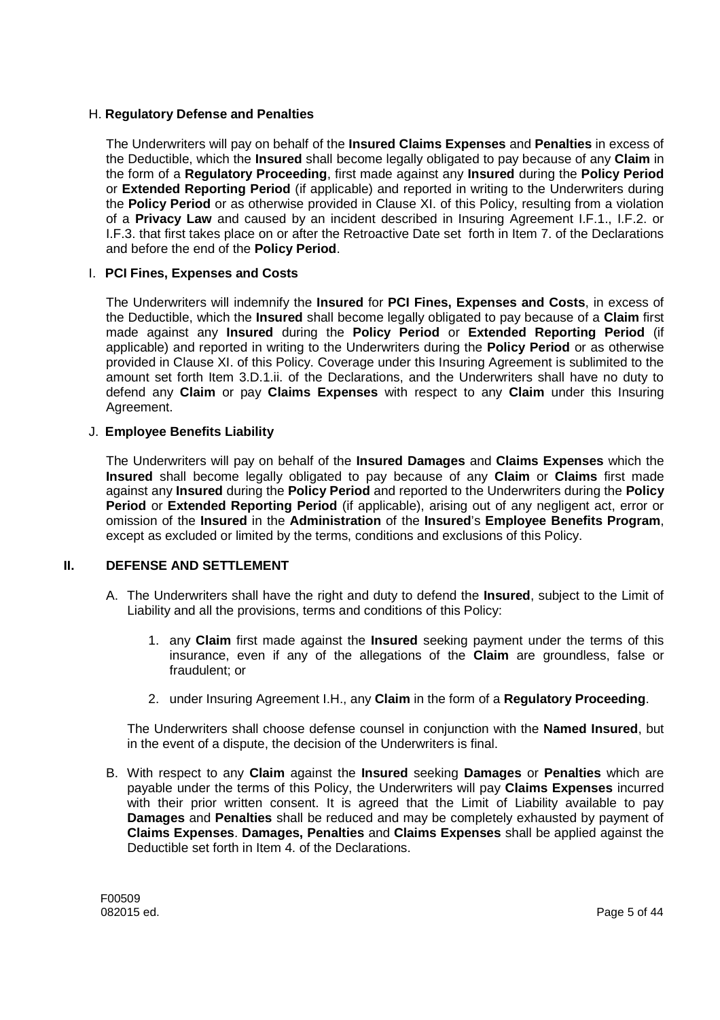### H. **Regulatory Defense and Penalties**

The Underwriters will pay on behalf of the **Insured Claims Expenses** and **Penalties** in excess of the Deductible, which the **Insured** shall become legally obligated to pay because of any **Claim** in the form of a **Regulatory Proceeding**, first made against any **Insured** during the **Policy Period** or **Extended Reporting Period** (if applicable) and reported in writing to the Underwriters during the **Policy Period** or as otherwise provided in Clause XI. of this Policy, resulting from a violation of a **Privacy Law** and caused by an incident described in Insuring Agreement I.F.1., I.F.2. or I.F.3. that first takes place on or after the Retroactive Date set forth in Item 7. of the Declarations and before the end of the **Policy Period**.

### I. **PCI Fines, Expenses and Costs**

The Underwriters will indemnify the **Insured** for **PCI Fines, Expenses and Costs**, in excess of the Deductible, which the **Insured** shall become legally obligated to pay because of a **Claim** first made against any **Insured** during the **Policy Period** or **Extended Reporting Period** (if applicable) and reported in writing to the Underwriters during the **Policy Period** or as otherwise provided in Clause XI. of this Policy. Coverage under this Insuring Agreement is sublimited to the amount set forth Item 3.D.1.ii. of the Declarations, and the Underwriters shall have no duty to defend any **Claim** or pay **Claims Expenses** with respect to any **Claim** under this Insuring Agreement.

### J. **Employee Benefits Liability**

The Underwriters will pay on behalf of the **Insured Damages** and **Claims Expenses** which the **Insured** shall become legally obligated to pay because of any **Claim** or **Claims** first made against any **Insured** during the **Policy Period** and reported to the Underwriters during the **Policy Period** or **Extended Reporting Period** (if applicable), arising out of any negligent act, error or omission of the **Insured** in the **Administration** of the **Insured**'s **Employee Benefits Program**, except as excluded or limited by the terms, conditions and exclusions of this Policy.

### **II. DEFENSE AND SETTLEMENT**

- A. The Underwriters shall have the right and duty to defend the **Insured**, subject to the Limit of Liability and all the provisions, terms and conditions of this Policy:
	- 1. any **Claim** first made against the **Insured** seeking payment under the terms of this insurance, even if any of the allegations of the **Claim** are groundless, false or fraudulent; or
	- 2. under Insuring Agreement I.H., any **Claim** in the form of a **Regulatory Proceeding**.

The Underwriters shall choose defense counsel in conjunction with the **Named Insured**, but in the event of a dispute, the decision of the Underwriters is final.

B. With respect to any **Claim** against the **Insured** seeking **Damages** or **Penalties** which are payable under the terms of this Policy, the Underwriters will pay **Claims Expenses** incurred with their prior written consent. It is agreed that the Limit of Liability available to pay **Damages** and **Penalties** shall be reduced and may be completely exhausted by payment of **Claims Expenses**. **Damages, Penalties** and **Claims Expenses** shall be applied against the Deductible set forth in Item 4. of the Declarations.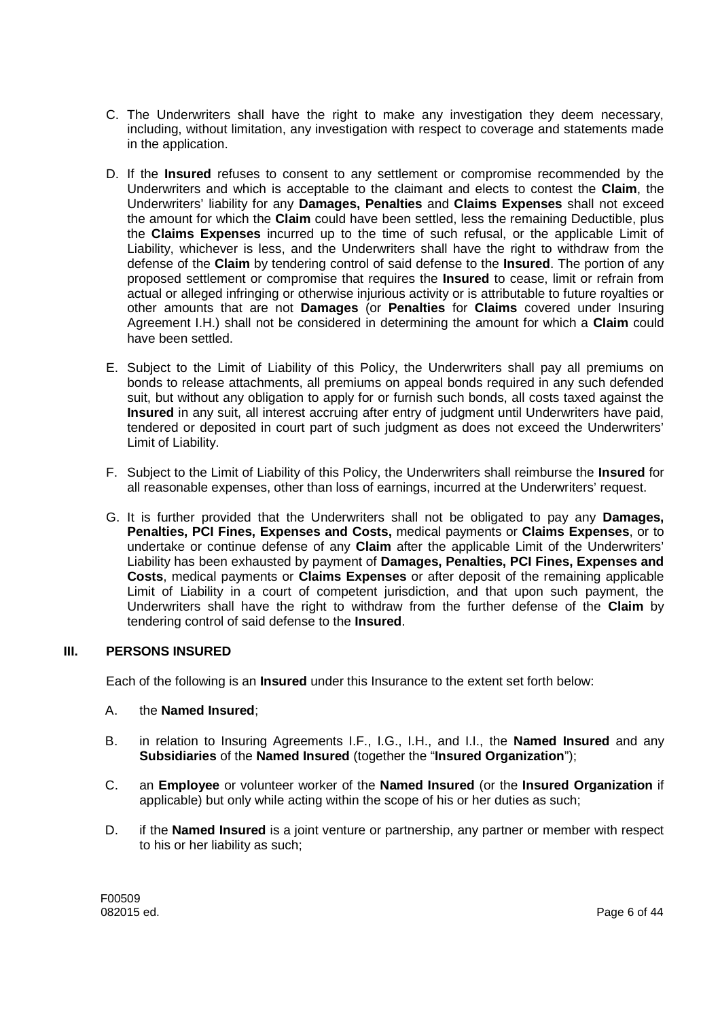- C. The Underwriters shall have the right to make any investigation they deem necessary, including, without limitation, any investigation with respect to coverage and statements made in the application.
- D. If the **Insured** refuses to consent to any settlement or compromise recommended by the Underwriters and which is acceptable to the claimant and elects to contest the **Claim**, the Underwriters' liability for any **Damages, Penalties** and **Claims Expenses** shall not exceed the amount for which the **Claim** could have been settled, less the remaining Deductible, plus the **Claims Expenses** incurred up to the time of such refusal, or the applicable Limit of Liability, whichever is less, and the Underwriters shall have the right to withdraw from the defense of the **Claim** by tendering control of said defense to the **Insured**. The portion of any proposed settlement or compromise that requires the **Insured** to cease, limit or refrain from actual or alleged infringing or otherwise injurious activity or is attributable to future royalties or other amounts that are not **Damages** (or **Penalties** for **Claims** covered under Insuring Agreement I.H.) shall not be considered in determining the amount for which a **Claim** could have been settled.
- E. Subject to the Limit of Liability of this Policy, the Underwriters shall pay all premiums on bonds to release attachments, all premiums on appeal bonds required in any such defended suit, but without any obligation to apply for or furnish such bonds, all costs taxed against the **Insured** in any suit, all interest accruing after entry of judgment until Underwriters have paid, tendered or deposited in court part of such judgment as does not exceed the Underwriters' Limit of Liability.
- F. Subject to the Limit of Liability of this Policy, the Underwriters shall reimburse the **Insured** for all reasonable expenses, other than loss of earnings, incurred at the Underwriters' request.
- G. It is further provided that the Underwriters shall not be obligated to pay any **Damages, Penalties, PCI Fines, Expenses and Costs,** medical payments or **Claims Expenses**, or to undertake or continue defense of any **Claim** after the applicable Limit of the Underwriters' Liability has been exhausted by payment of **Damages, Penalties, PCI Fines, Expenses and Costs**, medical payments or **Claims Expenses** or after deposit of the remaining applicable Limit of Liability in a court of competent jurisdiction, and that upon such payment, the Underwriters shall have the right to withdraw from the further defense of the **Claim** by tendering control of said defense to the **Insured**.

### **III. PERSONS INSURED**

Each of the following is an **Insured** under this Insurance to the extent set forth below:

### A. the **Named Insured**;

- B. in relation to Insuring Agreements I.F., I.G., I.H., and I.I., the **Named Insured** and any **Subsidiaries** of the **Named Insured** (together the "**Insured Organization**");
- C. an **Employee** or volunteer worker of the **Named Insured** (or the **Insured Organization** if applicable) but only while acting within the scope of his or her duties as such;
- D. if the **Named Insured** is a joint venture or partnership, any partner or member with respect to his or her liability as such;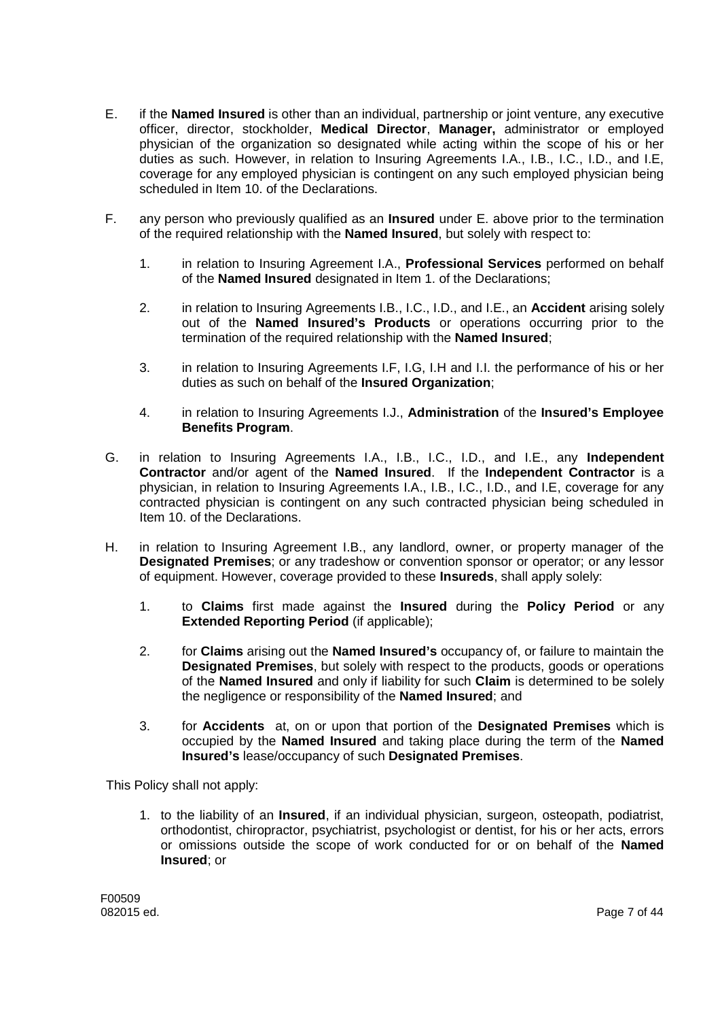- E. if the **Named Insured** is other than an individual, partnership or joint venture, any executive officer, director, stockholder, **Medical Director**, **Manager,** administrator or employed physician of the organization so designated while acting within the scope of his or her duties as such. However, in relation to Insuring Agreements I.A., I.B., I.C., I.D., and I.E, coverage for any employed physician is contingent on any such employed physician being scheduled in Item 10. of the Declarations.
- F. any person who previously qualified as an **Insured** under E. above prior to the termination of the required relationship with the **Named Insured**, but solely with respect to:
	- 1. in relation to Insuring Agreement I.A., **Professional Services** performed on behalf of the **Named Insured** designated in Item 1. of the Declarations;
	- 2. in relation to Insuring Agreements I.B., I.C., I.D., and I.E., an **Accident** arising solely out of the **Named Insured's Products** or operations occurring prior to the termination of the required relationship with the **Named Insured**;
	- 3. in relation to Insuring Agreements I.F, I.G, I.H and I.I. the performance of his or her duties as such on behalf of the **Insured Organization**;
	- 4. in relation to Insuring Agreements I.J., **Administration** of the **Insured's Employee Benefits Program**.
- G. in relation to Insuring Agreements I.A., I.B., I.C., I.D., and I.E., any **Independent Contractor** and/or agent of the **Named Insured**. If the **Independent Contractor** is a physician, in relation to Insuring Agreements I.A., I.B., I.C., I.D., and I.E, coverage for any contracted physician is contingent on any such contracted physician being scheduled in Item 10. of the Declarations.
- H. in relation to Insuring Agreement I.B., any landlord, owner, or property manager of the **Designated Premises**; or any tradeshow or convention sponsor or operator; or any lessor of equipment. However, coverage provided to these **Insureds**, shall apply solely:
	- 1. to **Claims** first made against the **Insured** during the **Policy Period** or any **Extended Reporting Period** (if applicable);
	- 2. for **Claims** arising out the **Named Insured's** occupancy of, or failure to maintain the **Designated Premises**, but solely with respect to the products, goods or operations of the **Named Insured** and only if liability for such **Claim** is determined to be solely the negligence or responsibility of the **Named Insured**; and
	- 3. for **Accidents** at, on or upon that portion of the **Designated Premises** which is occupied by the **Named Insured** and taking place during the term of the **Named Insured's** lease/occupancy of such **Designated Premises**.

This Policy shall not apply:

1. to the liability of an **Insured**, if an individual physician, surgeon, osteopath, podiatrist, orthodontist, chiropractor, psychiatrist, psychologist or dentist, for his or her acts, errors or omissions outside the scope of work conducted for or on behalf of the **Named Insured**; or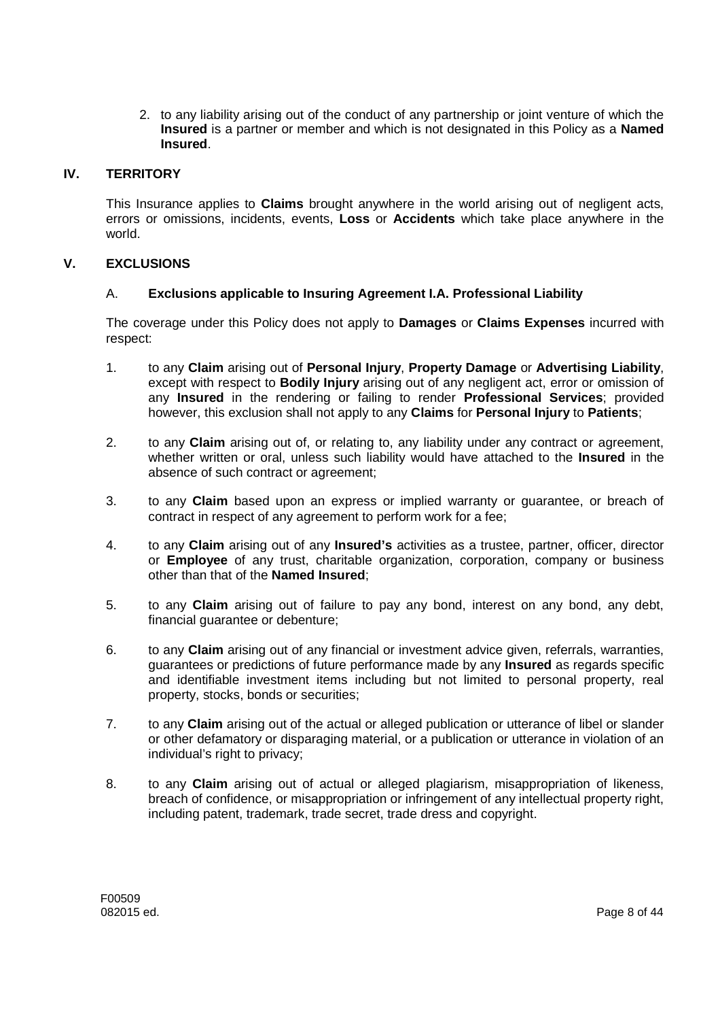2. to any liability arising out of the conduct of any partnership or joint venture of which the **Insured** is a partner or member and which is not designated in this Policy as a **Named Insured**.

### **IV. TERRITORY**

This Insurance applies to **Claims** brought anywhere in the world arising out of negligent acts, errors or omissions, incidents, events, **Loss** or **Accidents** which take place anywhere in the world.

### **V. EXCLUSIONS**

### A. **Exclusions applicable to Insuring Agreement I.A. Professional Liability**

The coverage under this Policy does not apply to **Damages** or **Claims Expenses** incurred with respect:

- 1. to any **Claim** arising out of **Personal Injury**, **Property Damage** or **Advertising Liability**, except with respect to **Bodily Injury** arising out of any negligent act, error or omission of any **Insured** in the rendering or failing to render **Professional Services**; provided however, this exclusion shall not apply to any **Claims** for **Personal Injury** to **Patients**;
- 2. to any **Claim** arising out of, or relating to, any liability under any contract or agreement, whether written or oral, unless such liability would have attached to the **Insured** in the absence of such contract or agreement;
- 3. to any **Claim** based upon an express or implied warranty or guarantee, or breach of contract in respect of any agreement to perform work for a fee;
- 4. to any **Claim** arising out of any **Insured's** activities as a trustee, partner, officer, director or **Employee** of any trust, charitable organization, corporation, company or business other than that of the **Named Insured**;
- 5. to any **Claim** arising out of failure to pay any bond, interest on any bond, any debt, financial guarantee or debenture;
- 6. to any **Claim** arising out of any financial or investment advice given, referrals, warranties, guarantees or predictions of future performance made by any **Insured** as regards specific and identifiable investment items including but not limited to personal property, real property, stocks, bonds or securities;
- 7. to any **Claim** arising out of the actual or alleged publication or utterance of libel or slander or other defamatory or disparaging material, or a publication or utterance in violation of an individual's right to privacy:
- 8. to any **Claim** arising out of actual or alleged plagiarism, misappropriation of likeness, breach of confidence, or misappropriation or infringement of any intellectual property right, including patent, trademark, trade secret, trade dress and copyright.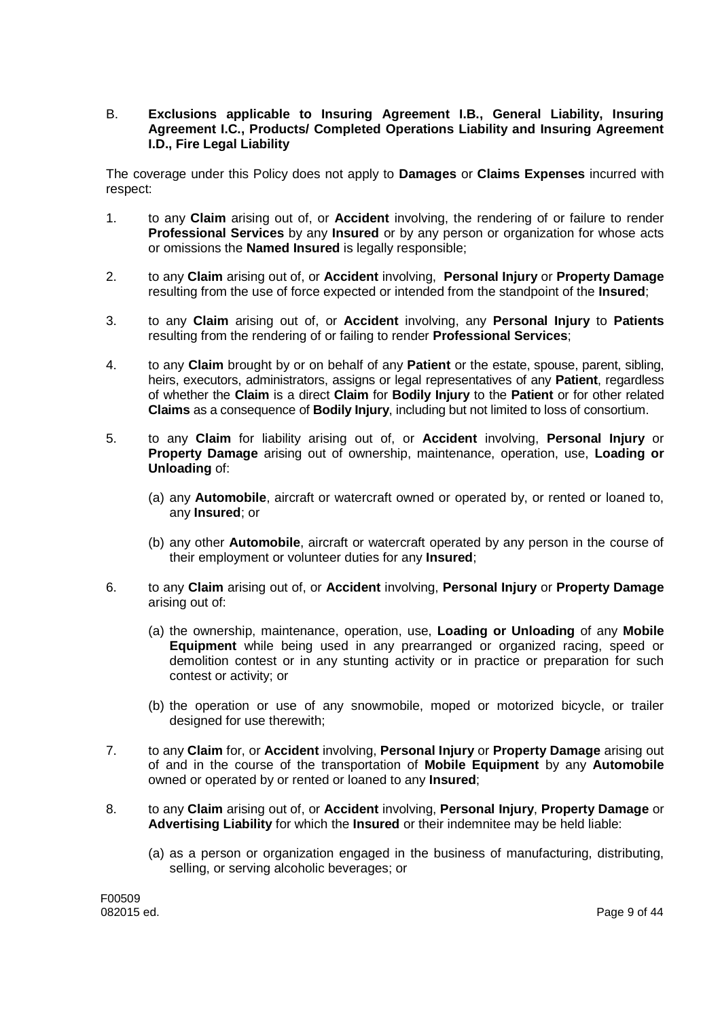### B. **Exclusions applicable to Insuring Agreement I.B., General Liability, Insuring Agreement I.C., Products/ Completed Operations Liability and Insuring Agreement I.D., Fire Legal Liability**

The coverage under this Policy does not apply to **Damages** or **Claims Expenses** incurred with respect:

- 1. to any **Claim** arising out of, or **Accident** involving, the rendering of or failure to render **Professional Services** by any **Insured** or by any person or organization for whose acts or omissions the **Named Insured** is legally responsible;
- 2. to any **Claim** arising out of, or **Accident** involving, **Personal Injury** or **Property Damage** resulting from the use of force expected or intended from the standpoint of the **Insured**;
- 3. to any **Claim** arising out of, or **Accident** involving, any **Personal Injury** to **Patients** resulting from the rendering of or failing to render **Professional Services**;
- 4. to any **Claim** brought by or on behalf of any **Patient** or the estate, spouse, parent, sibling, heirs, executors, administrators, assigns or legal representatives of any **Patient**, regardless of whether the **Claim** is a direct **Claim** for **Bodily Injury** to the **Patient** or for other related **Claims** as a consequence of **Bodily Injury**, including but not limited to loss of consortium.
- 5. to any **Claim** for liability arising out of, or **Accident** involving, **Personal Injury** or **Property Damage** arising out of ownership, maintenance, operation, use, **Loading or Unloading** of:
	- (a) any **Automobile**, aircraft or watercraft owned or operated by, or rented or loaned to, any **Insured**; or
	- (b) any other **Automobile**, aircraft or watercraft operated by any person in the course of their employment or volunteer duties for any **Insured**;
- 6. to any **Claim** arising out of, or **Accident** involving, **Personal Injury** or **Property Damage** arising out of:
	- (a) the ownership, maintenance, operation, use, **Loading or Unloading** of any **Mobile Equipment** while being used in any prearranged or organized racing, speed or demolition contest or in any stunting activity or in practice or preparation for such contest or activity; or
	- (b) the operation or use of any snowmobile, moped or motorized bicycle, or trailer designed for use therewith;
- 7. to any **Claim** for, or **Accident** involving, **Personal Injury** or **Property Damage** arising out of and in the course of the transportation of **Mobile Equipment** by any **Automobile** owned or operated by or rented or loaned to any **Insured**;
- 8. to any **Claim** arising out of, or **Accident** involving, **Personal Injury**, **Property Damage** or **Advertising Liability** for which the **Insured** or their indemnitee may be held liable:
	- (a) as a person or organization engaged in the business of manufacturing, distributing, selling, or serving alcoholic beverages; or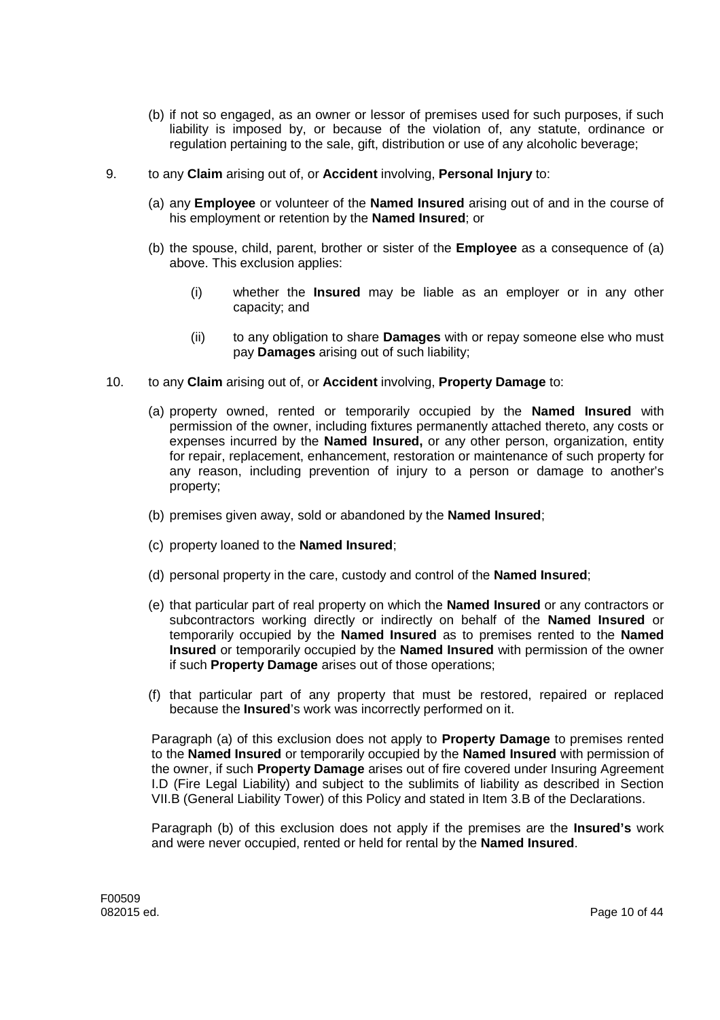- (b) if not so engaged, as an owner or lessor of premises used for such purposes, if such liability is imposed by, or because of the violation of, any statute, ordinance or regulation pertaining to the sale, gift, distribution or use of any alcoholic beverage;
- 9. to any **Claim** arising out of, or **Accident** involving, **Personal Injury** to:
	- (a) any **Employee** or volunteer of the **Named Insured** arising out of and in the course of his employment or retention by the **Named Insured**; or
	- (b) the spouse, child, parent, brother or sister of the **Employee** as a consequence of (a) above. This exclusion applies:
		- (i) whether the **Insured** may be liable as an employer or in any other capacity; and
		- (ii) to any obligation to share **Damages** with or repay someone else who must pay **Damages** arising out of such liability;
- 10. to any **Claim** arising out of, or **Accident** involving, **Property Damage** to:
	- (a) property owned, rented or temporarily occupied by the **Named Insured** with permission of the owner, including fixtures permanently attached thereto, any costs or expenses incurred by the **Named Insured,** or any other person, organization, entity for repair, replacement, enhancement, restoration or maintenance of such property for any reason, including prevention of injury to a person or damage to another's property;
	- (b) premises given away, sold or abandoned by the **Named Insured**;
	- (c) property loaned to the **Named Insured**;
	- (d) personal property in the care, custody and control of the **Named Insured**;
	- (e) that particular part of real property on which the **Named Insured** or any contractors or subcontractors working directly or indirectly on behalf of the **Named Insured** or temporarily occupied by the **Named Insured** as to premises rented to the **Named Insured** or temporarily occupied by the **Named Insured** with permission of the owner if such **Property Damage** arises out of those operations;
	- (f) that particular part of any property that must be restored, repaired or replaced because the **Insured**'s work was incorrectly performed on it.

Paragraph (a) of this exclusion does not apply to **Property Damage** to premises rented to the **Named Insured** or temporarily occupied by the **Named Insured** with permission of the owner, if such **Property Damage** arises out of fire covered under Insuring Agreement I.D (Fire Legal Liability) and subject to the sublimits of liability as described in Section VII.B (General Liability Tower) of this Policy and stated in Item 3.B of the Declarations.

Paragraph (b) of this exclusion does not apply if the premises are the **Insured's** work and were never occupied, rented or held for rental by the **Named Insured**.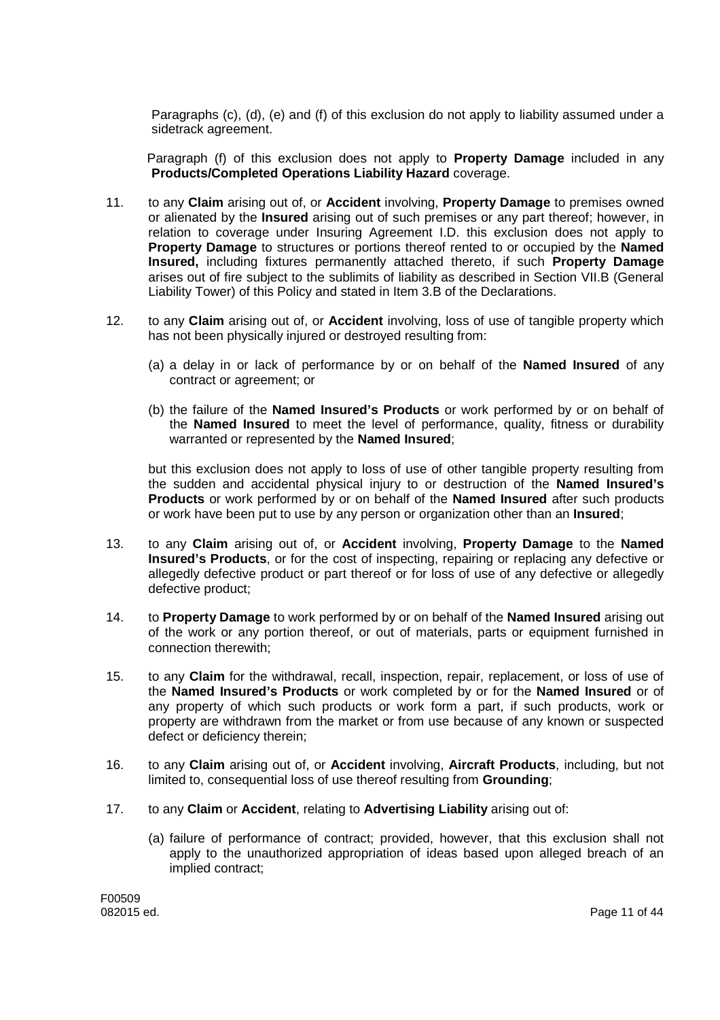Paragraphs (c), (d), (e) and (f) of this exclusion do not apply to liability assumed under a sidetrack agreement.

Paragraph (f) of this exclusion does not apply to **Property Damage** included in any **Products/Completed Operations Liability Hazard** coverage.

- 11. to any **Claim** arising out of, or **Accident** involving, **Property Damage** to premises owned or alienated by the **Insured** arising out of such premises or any part thereof; however, in relation to coverage under Insuring Agreement I.D. this exclusion does not apply to **Property Damage** to structures or portions thereof rented to or occupied by the **Named Insured,** including fixtures permanently attached thereto, if such **Property Damage** arises out of fire subject to the sublimits of liability as described in Section VII.B (General Liability Tower) of this Policy and stated in Item 3.B of the Declarations.
- 12. to any **Claim** arising out of, or **Accident** involving, loss of use of tangible property which has not been physically injured or destroyed resulting from:
	- (a) a delay in or lack of performance by or on behalf of the **Named Insured** of any contract or agreement; or
	- (b) the failure of the **Named Insured's Products** or work performed by or on behalf of the **Named Insured** to meet the level of performance, quality, fitness or durability warranted or represented by the **Named Insured**;

but this exclusion does not apply to loss of use of other tangible property resulting from the sudden and accidental physical injury to or destruction of the **Named Insured's Products** or work performed by or on behalf of the **Named Insured** after such products or work have been put to use by any person or organization other than an **Insured**;

- 13. to any **Claim** arising out of, or **Accident** involving, **Property Damage** to the **Named Insured's Products**, or for the cost of inspecting, repairing or replacing any defective or allegedly defective product or part thereof or for loss of use of any defective or allegedly defective product;
- 14. to **Property Damage** to work performed by or on behalf of the **Named Insured** arising out of the work or any portion thereof, or out of materials, parts or equipment furnished in connection therewith;
- 15. to any **Claim** for the withdrawal, recall, inspection, repair, replacement, or loss of use of the **Named Insured's Products** or work completed by or for the **Named Insured** or of any property of which such products or work form a part, if such products, work or property are withdrawn from the market or from use because of any known or suspected defect or deficiency therein;
- 16. to any **Claim** arising out of, or **Accident** involving, **Aircraft Products**, including, but not limited to, consequential loss of use thereof resulting from **Grounding**;
- 17. to any **Claim** or **Accident**, relating to **Advertising Liability** arising out of:
	- (a) failure of performance of contract; provided, however, that this exclusion shall not apply to the unauthorized appropriation of ideas based upon alleged breach of an implied contract;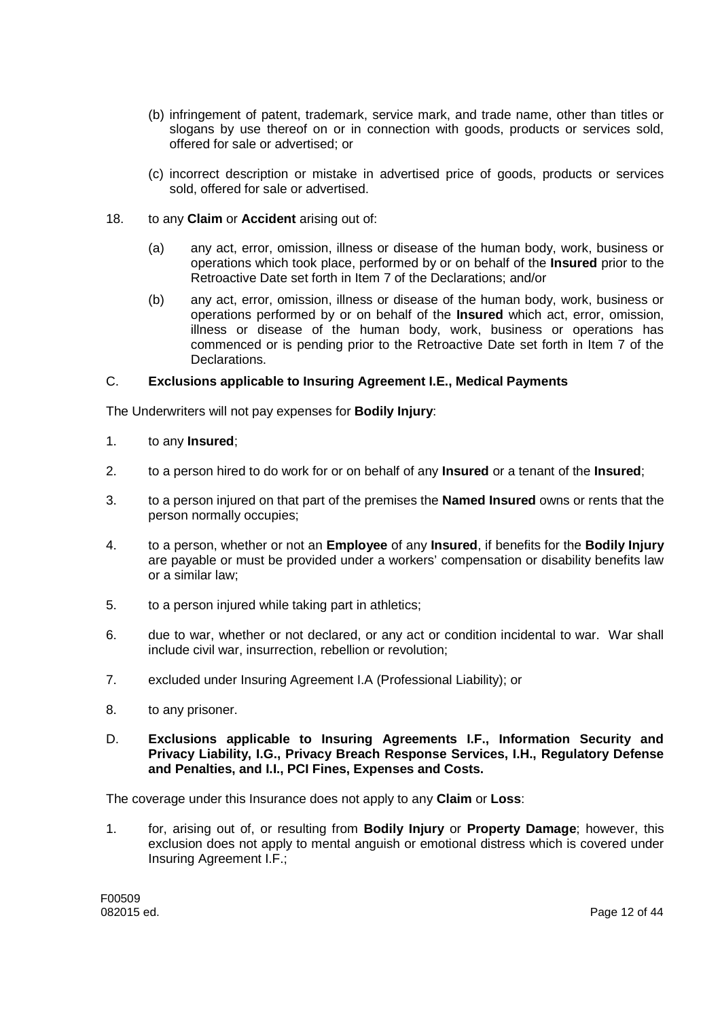- (b) infringement of patent, trademark, service mark, and trade name, other than titles or slogans by use thereof on or in connection with goods, products or services sold, offered for sale or advertised; or
- (c) incorrect description or mistake in advertised price of goods, products or services sold, offered for sale or advertised.
- 18. to any **Claim** or **Accident** arising out of:
	- (a) any act, error, omission, illness or disease of the human body, work, business or operations which took place, performed by or on behalf of the **Insured** prior to the Retroactive Date set forth in Item 7 of the Declarations; and/or
	- (b) any act, error, omission, illness or disease of the human body, work, business or operations performed by or on behalf of the **Insured** which act, error, omission, illness or disease of the human body, work, business or operations has commenced or is pending prior to the Retroactive Date set forth in Item 7 of the Declarations.

### C. **Exclusions applicable to Insuring Agreement I.E., Medical Payments**

The Underwriters will not pay expenses for **Bodily Injury**:

- 1. to any **Insured**;
- 2. to a person hired to do work for or on behalf of any **Insured** or a tenant of the **Insured**;
- 3. to a person injured on that part of the premises the **Named Insured** owns or rents that the person normally occupies;
- 4. to a person, whether or not an **Employee** of any **Insured**, if benefits for the **Bodily Injury** are payable or must be provided under a workers' compensation or disability benefits law or a similar law;
- 5. to a person injured while taking part in athletics;
- 6. due to war, whether or not declared, or any act or condition incidental to war. War shall include civil war, insurrection, rebellion or revolution;
- 7. excluded under Insuring Agreement I.A (Professional Liability); or
- 8. to any prisoner.
- D. **Exclusions applicable to Insuring Agreements I.F., Information Security and Privacy Liability, I.G., Privacy Breach Response Services, I.H., Regulatory Defense and Penalties, and I.I., PCI Fines, Expenses and Costs.**

The coverage under this Insurance does not apply to any **Claim** or **Loss**:

1. for, arising out of, or resulting from **Bodily Injury** or **Property Damage**; however, this exclusion does not apply to mental anguish or emotional distress which is covered under Insuring Agreement I.F.;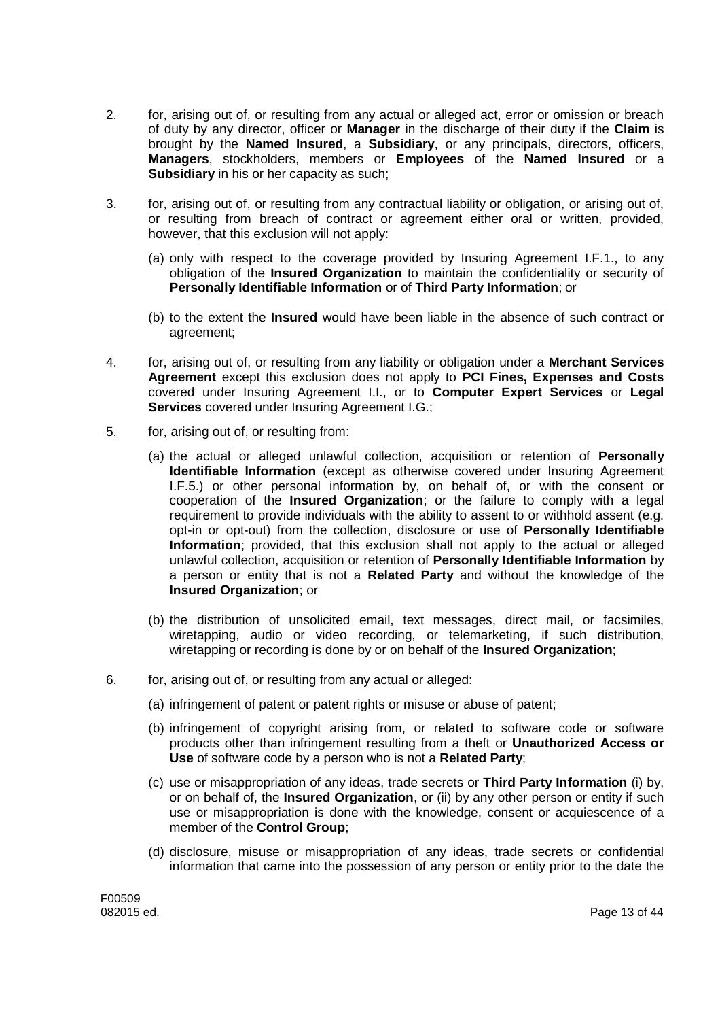- 2. for, arising out of, or resulting from any actual or alleged act, error or omission or breach of duty by any director, officer or **Manager** in the discharge of their duty if the **Claim** is brought by the **Named Insured**, a **Subsidiary**, or any principals, directors, officers, **Managers**, stockholders, members or **Employees** of the **Named Insured** or a **Subsidiary** in his or her capacity as such;
- 3. for, arising out of, or resulting from any contractual liability or obligation, or arising out of, or resulting from breach of contract or agreement either oral or written, provided, however, that this exclusion will not apply:
	- (a) only with respect to the coverage provided by Insuring Agreement I.F.1., to any obligation of the **Insured Organization** to maintain the confidentiality or security of **Personally Identifiable Information** or of **Third Party Information**; or
	- (b) to the extent the **Insured** would have been liable in the absence of such contract or agreement;
- 4. for, arising out of, or resulting from any liability or obligation under a **Merchant Services Agreement** except this exclusion does not apply to **PCI Fines, Expenses and Costs** covered under Insuring Agreement I.I., or to **Computer Expert Services** or **Legal Services** covered under Insuring Agreement I.G.;
- 5. for, arising out of, or resulting from:
	- (a) the actual or alleged unlawful collection, acquisition or retention of **Personally Identifiable Information** (except as otherwise covered under Insuring Agreement I.F.5.) or other personal information by, on behalf of, or with the consent or cooperation of the **Insured Organization**; or the failure to comply with a legal requirement to provide individuals with the ability to assent to or withhold assent (e.g. opt-in or opt-out) from the collection, disclosure or use of **Personally Identifiable Information**; provided, that this exclusion shall not apply to the actual or alleged unlawful collection, acquisition or retention of **Personally Identifiable Information** by a person or entity that is not a **Related Party** and without the knowledge of the **Insured Organization**; or
	- (b) the distribution of unsolicited email, text messages, direct mail, or facsimiles, wiretapping, audio or video recording, or telemarketing, if such distribution, wiretapping or recording is done by or on behalf of the **Insured Organization**;
- 6. for, arising out of, or resulting from any actual or alleged:
	- (a) infringement of patent or patent rights or misuse or abuse of patent;
	- (b) infringement of copyright arising from, or related to software code or software products other than infringement resulting from a theft or **Unauthorized Access or Use** of software code by a person who is not a **Related Party**;
	- (c) use or misappropriation of any ideas, trade secrets or **Third Party Information** (i) by, or on behalf of, the **Insured Organization**, or (ii) by any other person or entity if such use or misappropriation is done with the knowledge, consent or acquiescence of a member of the **Control Group**;
	- (d) disclosure, misuse or misappropriation of any ideas, trade secrets or confidential information that came into the possession of any person or entity prior to the date the

F00509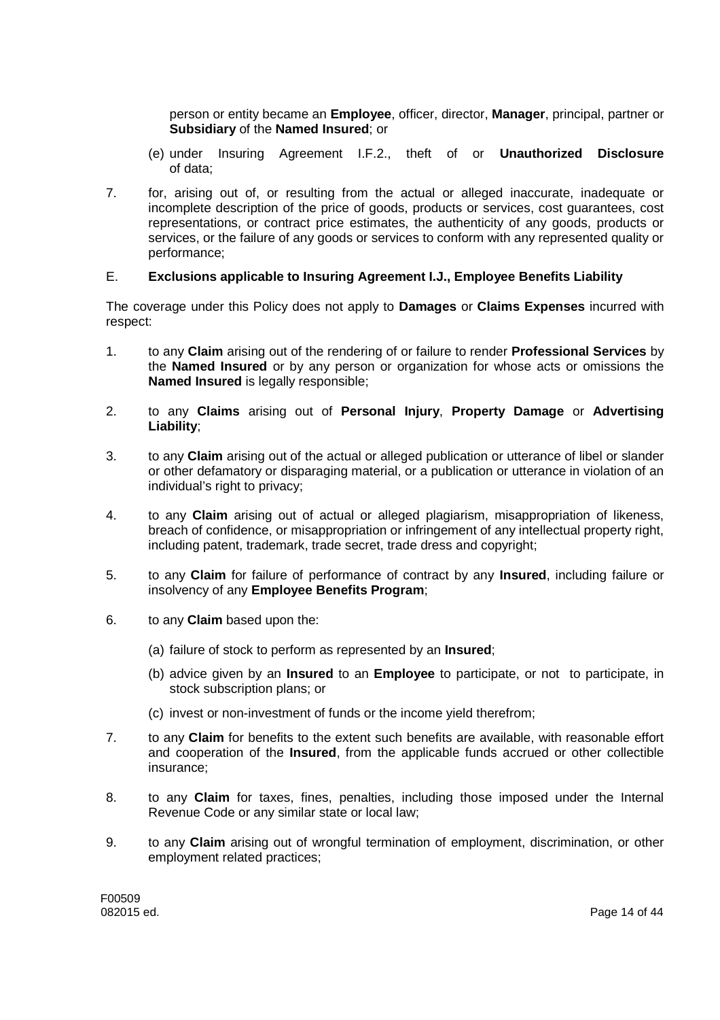person or entity became an **Employee**, officer, director, **Manager**, principal, partner or **Subsidiary** of the **Named Insured**; or

- (e) under Insuring Agreement I.F.2., theft of or **Unauthorized Disclosure** of data;
- 7. for, arising out of, or resulting from the actual or alleged inaccurate, inadequate or incomplete description of the price of goods, products or services, cost guarantees, cost representations, or contract price estimates, the authenticity of any goods, products or services, or the failure of any goods or services to conform with any represented quality or performance;

### E. **Exclusions applicable to Insuring Agreement I.J., Employee Benefits Liability**

The coverage under this Policy does not apply to **Damages** or **Claims Expenses** incurred with respect:

- 1. to any **Claim** arising out of the rendering of or failure to render **Professional Services** by the **Named Insured** or by any person or organization for whose acts or omissions the **Named Insured** is legally responsible;
- 2. to any **Claims** arising out of **Personal Injury**, **Property Damage** or **Advertising Liability**;
- 3. to any **Claim** arising out of the actual or alleged publication or utterance of libel or slander or other defamatory or disparaging material, or a publication or utterance in violation of an individual's right to privacy;
- 4. to any **Claim** arising out of actual or alleged plagiarism, misappropriation of likeness, breach of confidence, or misappropriation or infringement of any intellectual property right, including patent, trademark, trade secret, trade dress and copyright;
- 5. to any **Claim** for failure of performance of contract by any **Insured**, including failure or insolvency of any **Employee Benefits Program**;
- 6. to any **Claim** based upon the:
	- (a) failure of stock to perform as represented by an **Insured**;
	- (b) advice given by an **Insured** to an **Employee** to participate, or not to participate, in stock subscription plans; or
	- (c) invest or non-investment of funds or the income yield therefrom;
- 7. to any **Claim** for benefits to the extent such benefits are available, with reasonable effort and cooperation of the **Insured**, from the applicable funds accrued or other collectible insurance;
- 8. to any **Claim** for taxes, fines, penalties, including those imposed under the Internal Revenue Code or any similar state or local law;
- 9. to any **Claim** arising out of wrongful termination of employment, discrimination, or other employment related practices;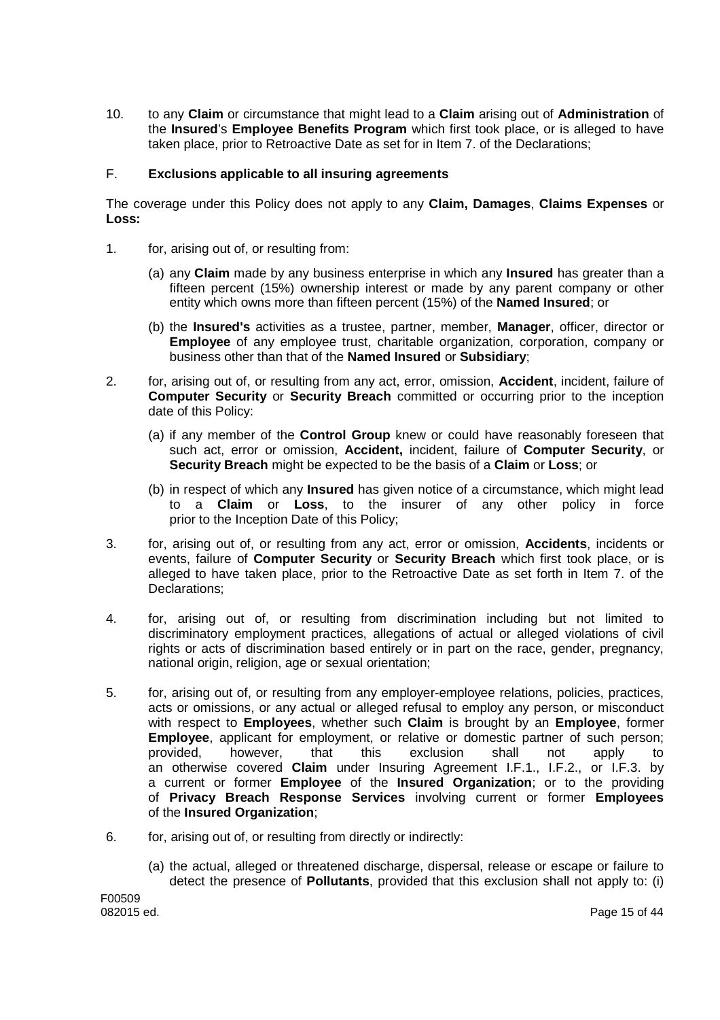10. to any **Claim** or circumstance that might lead to a **Claim** arising out of **Administration** of the **Insured**'s **Employee Benefits Program** which first took place, or is alleged to have taken place, prior to Retroactive Date as set for in Item 7. of the Declarations;

### F. **Exclusions applicable to all insuring agreements**

The coverage under this Policy does not apply to any **Claim, Damages**, **Claims Expenses** or **Loss:**

- 1. for, arising out of, or resulting from:
	- (a) any **Claim** made by any business enterprise in which any **Insured** has greater than a fifteen percent (15%) ownership interest or made by any parent company or other entity which owns more than fifteen percent (15%) of the **Named Insured**; or
	- (b) the **Insured's** activities as a trustee, partner, member, **Manager**, officer, director or **Employee** of any employee trust, charitable organization, corporation, company or business other than that of the **Named Insured** or **Subsidiary**;
- 2. for, arising out of, or resulting from any act, error, omission, **Accident**, incident, failure of **Computer Security** or **Security Breach** committed or occurring prior to the inception date of this Policy:
	- (a) if any member of the **Control Group** knew or could have reasonably foreseen that such act, error or omission, **Accident,** incident, failure of **Computer Security**, or **Security Breach** might be expected to be the basis of a **Claim** or **Loss**; or
	- (b) in respect of which any **Insured** has given notice of a circumstance, which might lead to a **Claim** or **Loss**, to the insurer of any other policy in force prior to the Inception Date of this Policy;
- 3. for, arising out of, or resulting from any act, error or omission, **Accidents**, incidents or events, failure of **Computer Security** or **Security Breach** which first took place, or is alleged to have taken place, prior to the Retroactive Date as set forth in Item 7. of the Declarations;
- 4. for, arising out of, or resulting from discrimination including but not limited to discriminatory employment practices, allegations of actual or alleged violations of civil rights or acts of discrimination based entirely or in part on the race, gender, pregnancy, national origin, religion, age or sexual orientation;
- 5. for, arising out of, or resulting from any employer-employee relations, policies, practices, acts or omissions, or any actual or alleged refusal to employ any person, or misconduct with respect to **Employees**, whether such **Claim** is brought by an **Employee**, former **Employee**, applicant for employment, or relative or domestic partner of such person; provided, however, that this exclusion shall not apply to an otherwise covered **Claim** under Insuring Agreement I.F.1., I.F.2., or I.F.3. by a current or former **Employee** of the **Insured Organization**; or to the providing of **Privacy Breach Response Services** involving current or former **Employees** of the **Insured Organization**;
- 6. for, arising out of, or resulting from directly or indirectly:
	- (a) the actual, alleged or threatened discharge, dispersal, release or escape or failure to detect the presence of **Pollutants**, provided that this exclusion shall not apply to: (i)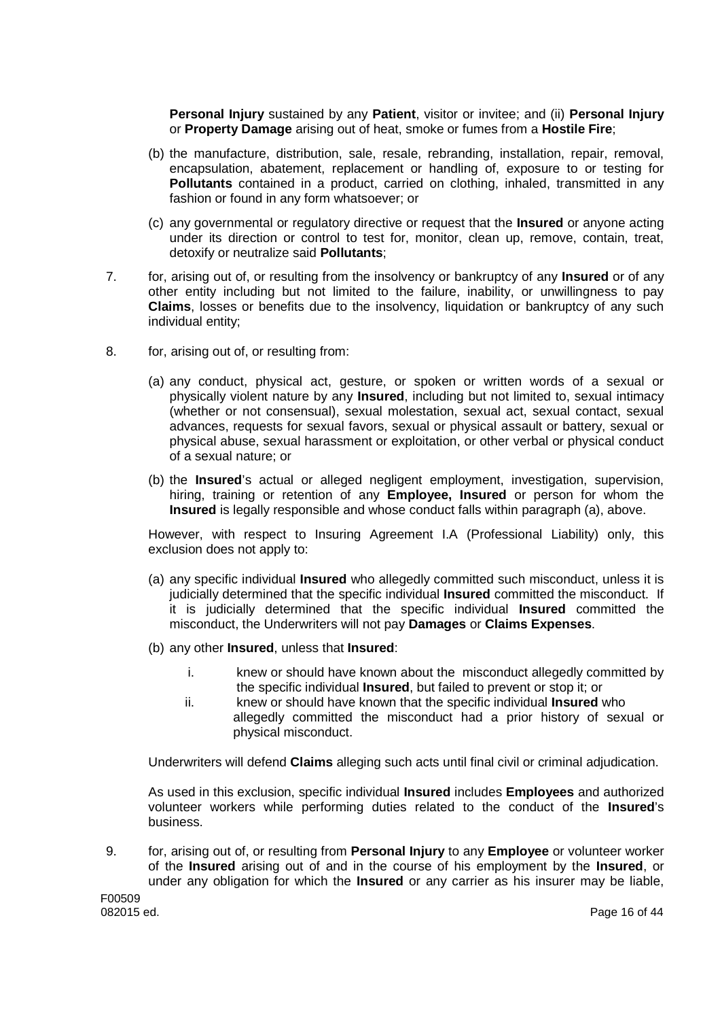**Personal Injury** sustained by any **Patient**, visitor or invitee; and (ii) **Personal Injury** or **Property Damage** arising out of heat, smoke or fumes from a **Hostile Fire**;

- (b) the manufacture, distribution, sale, resale, rebranding, installation, repair, removal, encapsulation, abatement, replacement or handling of, exposure to or testing for **Pollutants** contained in a product, carried on clothing, inhaled, transmitted in any fashion or found in any form whatsoever; or
- (c) any governmental or regulatory directive or request that the **Insured** or anyone acting under its direction or control to test for, monitor, clean up, remove, contain, treat, detoxify or neutralize said **Pollutants**;
- 7. for, arising out of, or resulting from the insolvency or bankruptcy of any **Insured** or of any other entity including but not limited to the failure, inability, or unwillingness to pay **Claims**, losses or benefits due to the insolvency, liquidation or bankruptcy of any such individual entity;
- 8. for, arising out of, or resulting from:
	- (a) any conduct, physical act, gesture, or spoken or written words of a sexual or physically violent nature by any **Insured**, including but not limited to, sexual intimacy (whether or not consensual), sexual molestation, sexual act, sexual contact, sexual advances, requests for sexual favors, sexual or physical assault or battery, sexual or physical abuse, sexual harassment or exploitation, or other verbal or physical conduct of a sexual nature; or
	- (b) the **Insured**'s actual or alleged negligent employment, investigation, supervision, hiring, training or retention of any **Employee, Insured** or person for whom the **Insured** is legally responsible and whose conduct falls within paragraph (a), above.

However, with respect to Insuring Agreement I.A (Professional Liability) only, this exclusion does not apply to:

- (a) any specific individual **Insured** who allegedly committed such misconduct, unless it is judicially determined that the specific individual **Insured** committed the misconduct. If it is judicially determined that the specific individual **Insured** committed the misconduct, the Underwriters will not pay **Damages** or **Claims Expenses**.
- (b) any other **Insured**, unless that **Insured**:
	- i. knew or should have known about the misconduct allegedly committed by the specific individual **Insured**, but failed to prevent or stop it; or
	- ii. knew or should have known that the specific individual **Insured** who allegedly committed the misconduct had a prior history of sexual or physical misconduct.

Underwriters will defend **Claims** alleging such acts until final civil or criminal adjudication.

As used in this exclusion, specific individual **Insured** includes **Employees** and authorized volunteer workers while performing duties related to the conduct of the **Insured**'s business.

9. for, arising out of, or resulting from **Personal Injury** to any **Employee** or volunteer worker of the **Insured** arising out of and in the course of his employment by the **Insured**, or under any obligation for which the **Insured** or any carrier as his insurer may be liable,

F00509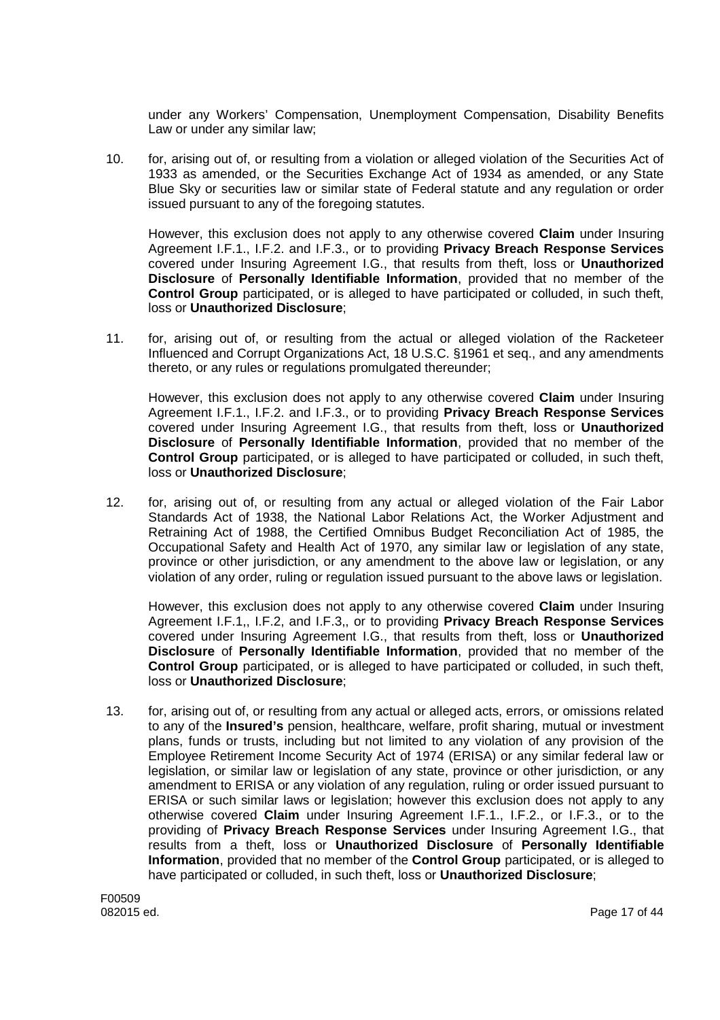under any Workers' Compensation, Unemployment Compensation, Disability Benefits Law or under any similar law;

10. for, arising out of, or resulting from a violation or alleged violation of the Securities Act of 1933 as amended, or the Securities Exchange Act of 1934 as amended, or any State Blue Sky or securities law or similar state of Federal statute and any regulation or order issued pursuant to any of the foregoing statutes.

However, this exclusion does not apply to any otherwise covered **Claim** under Insuring Agreement I.F.1., I.F.2. and I.F.3., or to providing **Privacy Breach Response Services** covered under Insuring Agreement I.G., that results from theft, loss or **Unauthorized Disclosure** of **Personally Identifiable Information**, provided that no member of the **Control Group** participated, or is alleged to have participated or colluded, in such theft, loss or **Unauthorized Disclosure**;

11. for, arising out of, or resulting from the actual or alleged violation of the Racketeer Influenced and Corrupt Organizations Act, 18 U.S.C. §1961 et seq., and any amendments thereto, or any rules or regulations promulgated thereunder;

However, this exclusion does not apply to any otherwise covered **Claim** under Insuring Agreement I.F.1., I.F.2. and I.F.3., or to providing **Privacy Breach Response Services** covered under Insuring Agreement I.G., that results from theft, loss or **Unauthorized Disclosure** of **Personally Identifiable Information**, provided that no member of the **Control Group** participated, or is alleged to have participated or colluded, in such theft, loss or **Unauthorized Disclosure**;

12. for, arising out of, or resulting from any actual or alleged violation of the Fair Labor Standards Act of 1938, the National Labor Relations Act, the Worker Adjustment and Retraining Act of 1988, the Certified Omnibus Budget Reconciliation Act of 1985, the Occupational Safety and Health Act of 1970, any similar law or legislation of any state, province or other jurisdiction, or any amendment to the above law or legislation, or any violation of any order, ruling or regulation issued pursuant to the above laws or legislation.

However, this exclusion does not apply to any otherwise covered **Claim** under Insuring Agreement I.F.1,, I.F.2, and I.F.3,, or to providing **Privacy Breach Response Services** covered under Insuring Agreement I.G., that results from theft, loss or **Unauthorized Disclosure** of **Personally Identifiable Information**, provided that no member of the **Control Group** participated, or is alleged to have participated or colluded, in such theft, loss or **Unauthorized Disclosure**;

13. for, arising out of, or resulting from any actual or alleged acts, errors, or omissions related to any of the **Insured's** pension, healthcare, welfare, profit sharing, mutual or investment plans, funds or trusts, including but not limited to any violation of any provision of the Employee Retirement Income Security Act of 1974 (ERISA) or any similar federal law or legislation, or similar law or legislation of any state, province or other jurisdiction, or any amendment to ERISA or any violation of any regulation, ruling or order issued pursuant to ERISA or such similar laws or legislation; however this exclusion does not apply to any otherwise covered **Claim** under Insuring Agreement I.F.1., I.F.2., or I.F.3., or to the providing of **Privacy Breach Response Services** under Insuring Agreement I.G., that results from a theft, loss or **Unauthorized Disclosure** of **Personally Identifiable Information**, provided that no member of the **Control Group** participated, or is alleged to have participated or colluded, in such theft, loss or **Unauthorized Disclosure**;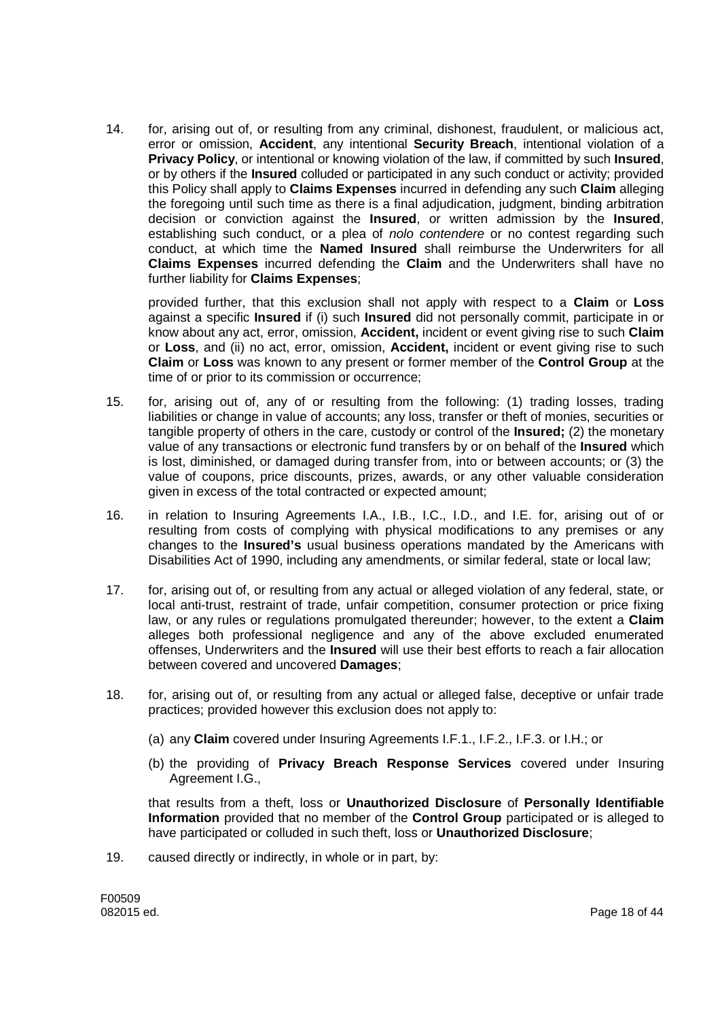14. for, arising out of, or resulting from any criminal, dishonest, fraudulent, or malicious act, error or omission, **Accident**, any intentional **Security Breach**, intentional violation of a **Privacy Policy**, or intentional or knowing violation of the law, if committed by such **Insured**, or by others if the **Insured** colluded or participated in any such conduct or activity; provided this Policy shall apply to **Claims Expenses** incurred in defending any such **Claim** alleging the foregoing until such time as there is a final adjudication, judgment, binding arbitration decision or conviction against the **Insured**, or written admission by the **Insured**, establishing such conduct, or a plea of *nolo contendere* or no contest regarding such conduct, at which time the **Named Insured** shall reimburse the Underwriters for all **Claims Expenses** incurred defending the **Claim** and the Underwriters shall have no further liability for **Claims Expenses**;

provided further, that this exclusion shall not apply with respect to a **Claim** or **Loss** against a specific **Insured** if (i) such **Insured** did not personally commit, participate in or know about any act, error, omission, **Accident,** incident or event giving rise to such **Claim** or **Loss**, and (ii) no act, error, omission, **Accident,** incident or event giving rise to such **Claim** or **Loss** was known to any present or former member of the **Control Group** at the time of or prior to its commission or occurrence;

- 15. for, arising out of, any of or resulting from the following: (1) trading losses, trading liabilities or change in value of accounts; any loss, transfer or theft of monies, securities or tangible property of others in the care, custody or control of the **Insured;** (2) the monetary value of any transactions or electronic fund transfers by or on behalf of the **Insured** which is lost, diminished, or damaged during transfer from, into or between accounts; or (3) the value of coupons, price discounts, prizes, awards, or any other valuable consideration given in excess of the total contracted or expected amount;
- 16. in relation to Insuring Agreements I.A., I.B., I.C., I.D., and I.E. for, arising out of or resulting from costs of complying with physical modifications to any premises or any changes to the **Insured's** usual business operations mandated by the Americans with Disabilities Act of 1990, including any amendments, or similar federal, state or local law;
- 17. for, arising out of, or resulting from any actual or alleged violation of any federal, state, or local anti-trust, restraint of trade, unfair competition, consumer protection or price fixing law, or any rules or regulations promulgated thereunder; however, to the extent a **Claim** alleges both professional negligence and any of the above excluded enumerated offenses, Underwriters and the **Insured** will use their best efforts to reach a fair allocation between covered and uncovered **Damages**;
- 18. for, arising out of, or resulting from any actual or alleged false, deceptive or unfair trade practices; provided however this exclusion does not apply to:
	- (a) any **Claim** covered under Insuring Agreements I.F.1., I.F.2., I.F.3. or I.H.; or
	- (b) the providing of **Privacy Breach Response Services** covered under Insuring Agreement I.G.,

that results from a theft, loss or **Unauthorized Disclosure** of **Personally Identifiable Information** provided that no member of the **Control Group** participated or is alleged to have participated or colluded in such theft, loss or **Unauthorized Disclosure**;

19. caused directly or indirectly, in whole or in part, by:

F00509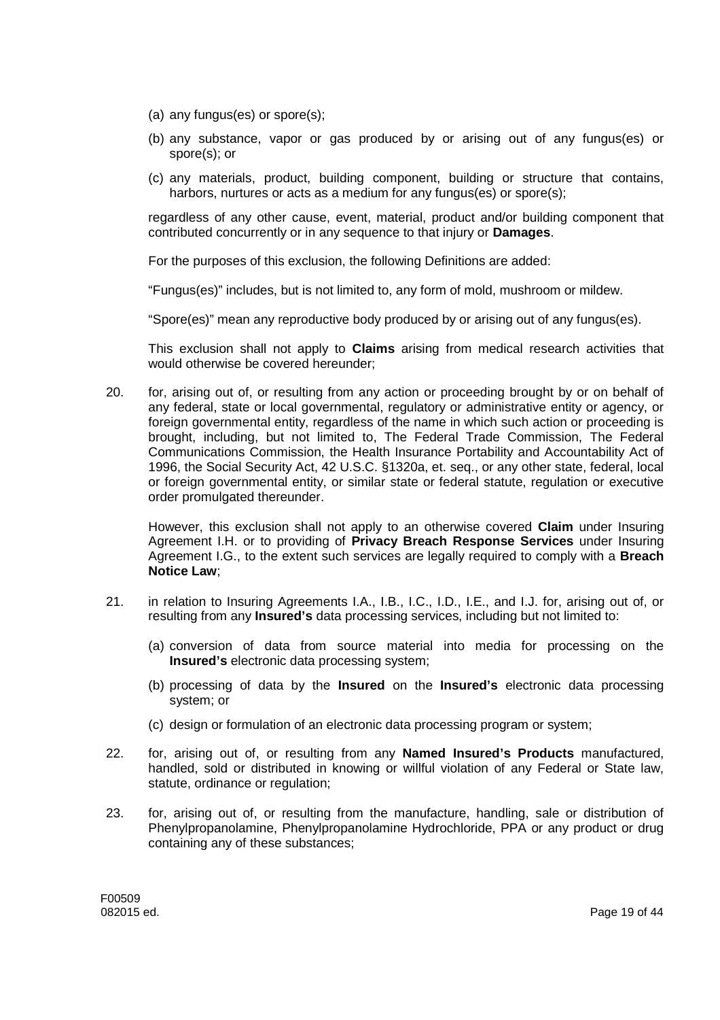- (a) any fungus(es) or spore(s);
- (b) any substance, vapor or gas produced by or arising out of any fungus(es) or spore(s); or
- (c) any materials, product, building component, building or structure that contains, harbors, nurtures or acts as a medium for any fungus(es) or spore(s);

regardless of any other cause, event, material, product and/or building component that contributed concurrently or in any sequence to that injury or **Damages**.

For the purposes of this exclusion, the following Definitions are added:

"Fungus(es)" includes, but is not limited to, any form of mold, mushroom or mildew.

"Spore(es)" mean any reproductive body produced by or arising out of any fungus(es).

This exclusion shall not apply to **Claims** arising from medical research activities that would otherwise be covered hereunder;

20. for, arising out of, or resulting from any action or proceeding brought by or on behalf of any federal, state or local governmental, regulatory or administrative entity or agency, or foreign governmental entity, regardless of the name in which such action or proceeding is brought, including, but not limited to, The Federal Trade Commission, The Federal Communications Commission, the Health Insurance Portability and Accountability Act of 1996, the Social Security Act, 42 U.S.C. §1320a, et. seq., or any other state, federal, local or foreign governmental entity, or similar state or federal statute, regulation or executive order promulgated thereunder.

However, this exclusion shall not apply to an otherwise covered **Claim** under Insuring Agreement I.H. or to providing of **Privacy Breach Response Services** under Insuring Agreement I.G., to the extent such services are legally required to comply with a **Breach Notice Law**;

- 21. in relation to Insuring Agreements I.A., I.B., I.C., I.D., I.E., and I.J. for, arising out of, or resulting from any **Insured's** data processing services, including but not limited to:
	- (a) conversion of data from source material into media for processing on the **Insured's** electronic data processing system;
	- (b) processing of data by the **Insured** on the **Insured's** electronic data processing system; or
	- (c) design or formulation of an electronic data processing program or system;
- 22. for, arising out of, or resulting from any **Named Insured's Products** manufactured, handled, sold or distributed in knowing or willful violation of any Federal or State law, statute, ordinance or regulation;
- 23. for, arising out of, or resulting from the manufacture, handling, sale or distribution of Phenylpropanolamine, Phenylpropanolamine Hydrochloride, PPA or any product or drug containing any of these substances;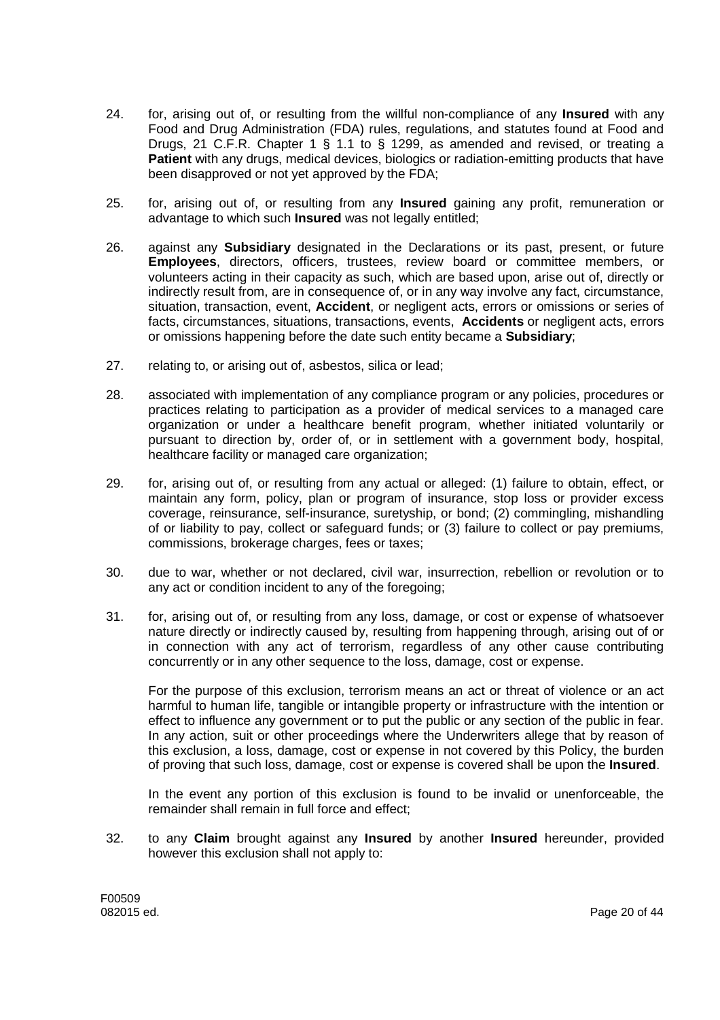- 24. for, arising out of, or resulting from the willful non-compliance of any **Insured** with any Food and Drug Administration (FDA) rules, regulations, and statutes found at Food and Drugs, 21 C.F.R. Chapter 1 § 1.1 to § 1299, as amended and revised, or treating a **Patient** with any drugs, medical devices, biologics or radiation-emitting products that have been disapproved or not yet approved by the FDA;
- 25. for, arising out of, or resulting from any **Insured** gaining any profit, remuneration or advantage to which such **Insured** was not legally entitled;
- 26. against any **Subsidiary** designated in the Declarations or its past, present, or future **Employees**, directors, officers, trustees, review board or committee members, or volunteers acting in their capacity as such, which are based upon, arise out of, directly or indirectly result from, are in consequence of, or in any way involve any fact, circumstance, situation, transaction, event, **Accident**, or negligent acts, errors or omissions or series of facts, circumstances, situations, transactions, events, **Accidents** or negligent acts, errors or omissions happening before the date such entity became a **Subsidiary**;
- 27. relating to, or arising out of, asbestos, silica or lead;
- 28. associated with implementation of any compliance program or any policies, procedures or practices relating to participation as a provider of medical services to a managed care organization or under a healthcare benefit program, whether initiated voluntarily or pursuant to direction by, order of, or in settlement with a government body, hospital. healthcare facility or managed care organization;
- 29. for, arising out of, or resulting from any actual or alleged: (1) failure to obtain, effect, or maintain any form, policy, plan or program of insurance, stop loss or provider excess coverage, reinsurance, self-insurance, suretyship, or bond; (2) commingling, mishandling of or liability to pay, collect or safeguard funds; or (3) failure to collect or pay premiums, commissions, brokerage charges, fees or taxes;
- 30. due to war, whether or not declared, civil war, insurrection, rebellion or revolution or to any act or condition incident to any of the foregoing;
- 31. for, arising out of, or resulting from any loss, damage, or cost or expense of whatsoever nature directly or indirectly caused by, resulting from happening through, arising out of or in connection with any act of terrorism, regardless of any other cause contributing concurrently or in any other sequence to the loss, damage, cost or expense.

For the purpose of this exclusion, terrorism means an act or threat of violence or an act harmful to human life, tangible or intangible property or infrastructure with the intention or effect to influence any government or to put the public or any section of the public in fear. In any action, suit or other proceedings where the Underwriters allege that by reason of this exclusion, a loss, damage, cost or expense in not covered by this Policy, the burden of proving that such loss, damage, cost or expense is covered shall be upon the **Insured**.

In the event any portion of this exclusion is found to be invalid or unenforceable, the remainder shall remain in full force and effect;

32. to any **Claim** brought against any **Insured** by another **Insured** hereunder, provided however this exclusion shall not apply to: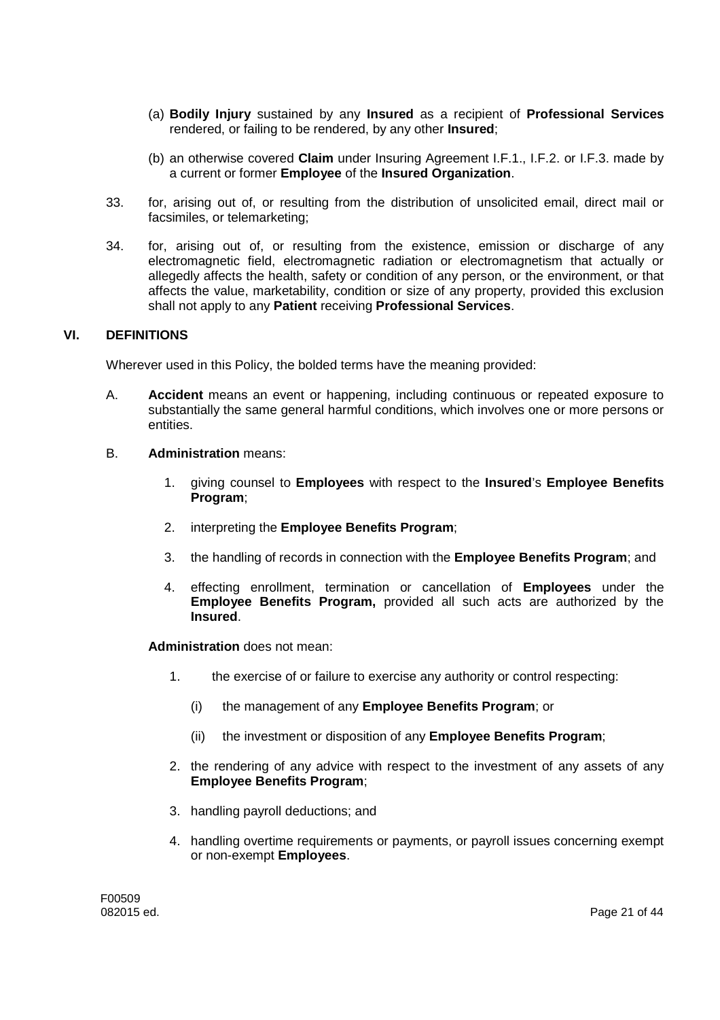- (a) **Bodily Injury** sustained by any **Insured** as a recipient of **Professional Services** rendered, or failing to be rendered, by any other **Insured**;
- (b) an otherwise covered **Claim** under Insuring Agreement I.F.1., I.F.2. or I.F.3. made by a current or former **Employee** of the **Insured Organization**.
- 33. for, arising out of, or resulting from the distribution of unsolicited email, direct mail or facsimiles, or telemarketing;
- 34. for, arising out of, or resulting from the existence, emission or discharge of any electromagnetic field, electromagnetic radiation or electromagnetism that actually or allegedly affects the health, safety or condition of any person, or the environment, or that affects the value, marketability, condition or size of any property, provided this exclusion shall not apply to any **Patient** receiving **Professional Services**.

### **VI. DEFINITIONS**

Wherever used in this Policy, the bolded terms have the meaning provided:

A. **Accident** means an event or happening, including continuous or repeated exposure to substantially the same general harmful conditions, which involves one or more persons or entities.

### B. **Administration** means:

- 1. giving counsel to **Employees** with respect to the **Insured**'s **Employee Benefits Program**;
- 2. interpreting the **Employee Benefits Program**;
- 3. the handling of records in connection with the **Employee Benefits Program**; and
- 4. effecting enrollment, termination or cancellation of **Employees** under the **Employee Benefits Program,** provided all such acts are authorized by the **Insured**.

**Administration** does not mean:

- 1. the exercise of or failure to exercise any authority or control respecting:
	- (i) the management of any **Employee Benefits Program**; or
	- (ii) the investment or disposition of any **Employee Benefits Program**;
- 2. the rendering of any advice with respect to the investment of any assets of any **Employee Benefits Program**;
- 3. handling payroll deductions; and
- 4. handling overtime requirements or payments, or payroll issues concerning exempt or non-exempt **Employees**.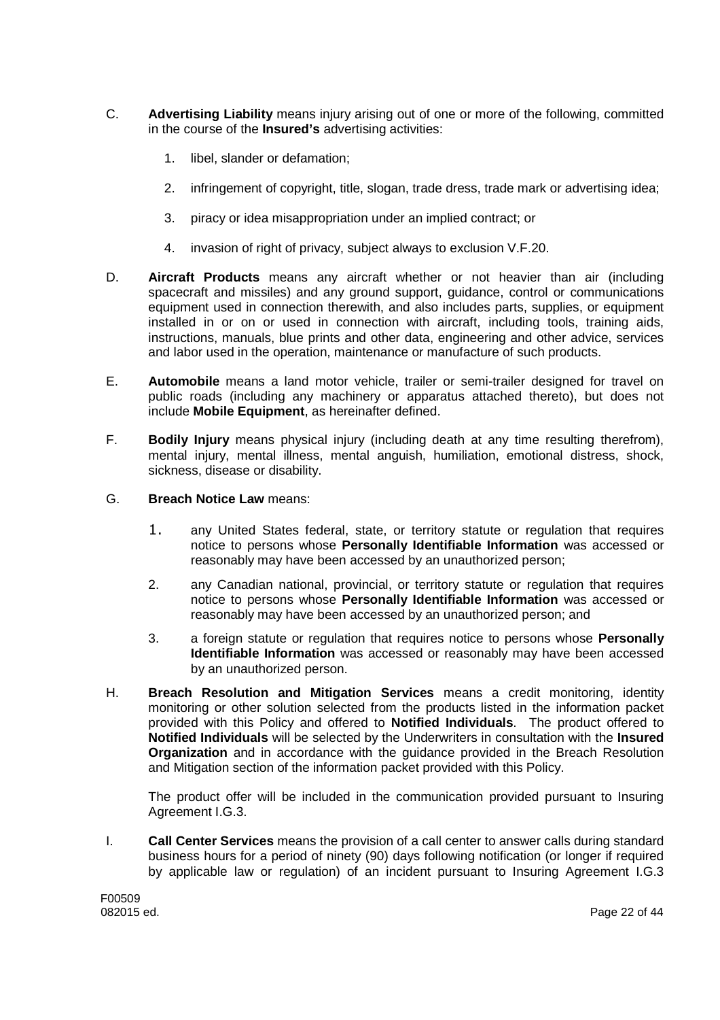- C. **Advertising Liability** means injury arising out of one or more of the following, committed in the course of the **Insured's** advertising activities:
	- 1. libel, slander or defamation;
	- 2. infringement of copyright, title, slogan, trade dress, trade mark or advertising idea;
	- 3. piracy or idea misappropriation under an implied contract; or
	- 4. invasion of right of privacy, subject always to exclusion V.F.20.
- D. **Aircraft Products** means any aircraft whether or not heavier than air (including spacecraft and missiles) and any ground support, guidance, control or communications equipment used in connection therewith, and also includes parts, supplies, or equipment installed in or on or used in connection with aircraft, including tools, training aids, instructions, manuals, blue prints and other data, engineering and other advice, services and labor used in the operation, maintenance or manufacture of such products.
- E. **Automobile** means a land motor vehicle, trailer or semi-trailer designed for travel on public roads (including any machinery or apparatus attached thereto), but does not include **Mobile Equipment**, as hereinafter defined.
- F. **Bodily Injury** means physical injury (including death at any time resulting therefrom), mental injury, mental illness, mental anguish, humiliation, emotional distress, shock, sickness, disease or disability.
- G. **Breach Notice Law** means:
	- 1. any United States federal, state, or territory statute or regulation that requires notice to persons whose **Personally Identifiable Information** was accessed or reasonably may have been accessed by an unauthorized person;
	- 2. any Canadian national, provincial, or territory statute or regulation that requires notice to persons whose **Personally Identifiable Information** was accessed or reasonably may have been accessed by an unauthorized person; and
	- 3. a foreign statute or regulation that requires notice to persons whose **Personally Identifiable Information** was accessed or reasonably may have been accessed by an unauthorized person.
- H. **Breach Resolution and Mitigation Services** means a credit monitoring, identity monitoring or other solution selected from the products listed in the information packet provided with this Policy and offered to **Notified Individuals**. The product offered to **Notified Individuals** will be selected by the Underwriters in consultation with the **Insured Organization** and in accordance with the guidance provided in the Breach Resolution and Mitigation section of the information packet provided with this Policy.

The product offer will be included in the communication provided pursuant to Insuring Agreement I.G.3.

I. **Call Center Services** means the provision of a call center to answer calls during standard business hours for a period of ninety (90) days following notification (or longer if required by applicable law or regulation) of an incident pursuant to Insuring Agreement I.G.3

F00509<br>082015 ed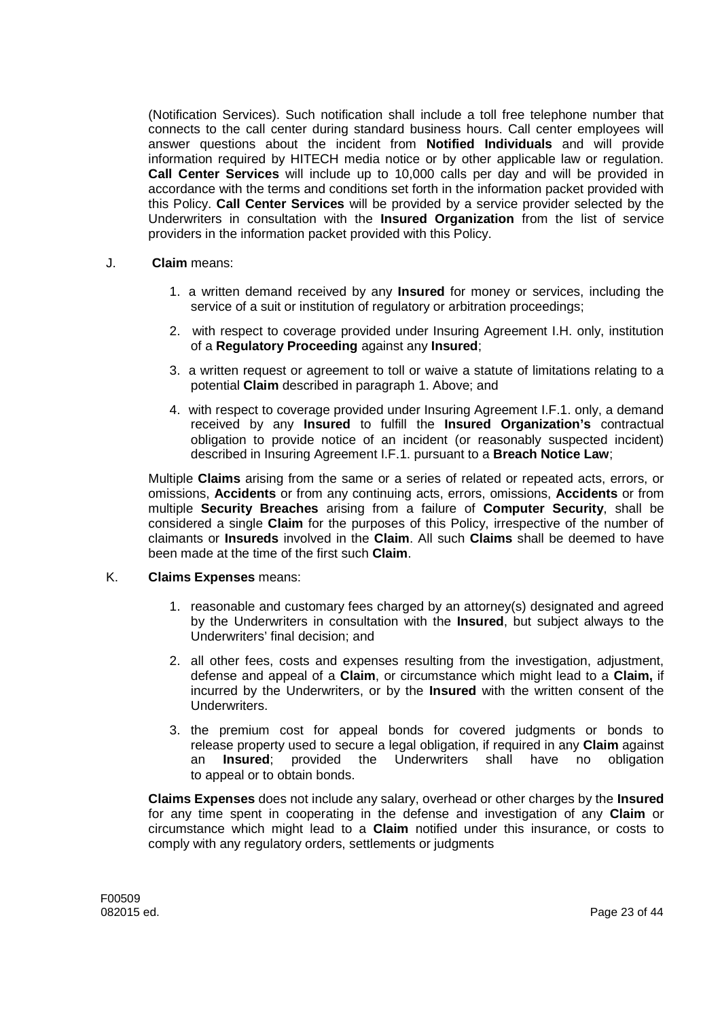(Notification Services). Such notification shall include a toll free telephone number that connects to the call center during standard business hours. Call center employees will answer questions about the incident from **Notified Individuals** and will provide information required by HITECH media notice or by other applicable law or regulation. **Call Center Services** will include up to 10,000 calls per day and will be provided in accordance with the terms and conditions set forth in the information packet provided with this Policy. **Call Center Services** will be provided by a service provider selected by the Underwriters in consultation with the **Insured Organization** from the list of service providers in the information packet provided with this Policy.

- J. **Claim** means:
	- 1. a written demand received by any **Insured** for money or services, including the service of a suit or institution of regulatory or arbitration proceedings;
	- 2. with respect to coverage provided under Insuring Agreement I.H. only, institution of a **Regulatory Proceeding** against any **Insured**;
	- 3. a written request or agreement to toll or waive a statute of limitations relating to a potential **Claim** described in paragraph 1. Above; and
	- 4. with respect to coverage provided under Insuring Agreement I.F.1. only, a demand received by any **Insured** to fulfill the **Insured Organization's** contractual obligation to provide notice of an incident (or reasonably suspected incident) described in Insuring Agreement I.F.1. pursuant to a **Breach Notice Law**;

Multiple **Claims** arising from the same or a series of related or repeated acts, errors, or omissions, **Accidents** or from any continuing acts, errors, omissions, **Accidents** or from multiple **Security Breaches** arising from a failure of **Computer Security**, shall be considered a single **Claim** for the purposes of this Policy, irrespective of the number of claimants or **Insureds** involved in the **Claim**. All such **Claims** shall be deemed to have been made at the time of the first such **Claim**.

# K. **Claims Expenses** means:

- 1. reasonable and customary fees charged by an attorney(s) designated and agreed by the Underwriters in consultation with the **Insured**, but subject always to the Underwriters' final decision; and
- 2. all other fees, costs and expenses resulting from the investigation, adjustment, defense and appeal of a **Claim**, or circumstance which might lead to a **Claim,** if incurred by the Underwriters, or by the **Insured** with the written consent of the Underwriters.
- 3. the premium cost for appeal bonds for covered judgments or bonds to release property used to secure a legal obligation, if required in any **Claim** against an **Insured**; provided the Underwriters shall have no obligation to appeal or to obtain bonds.

**Claims Expenses** does not include any salary, overhead or other charges by the **Insured** for any time spent in cooperating in the defense and investigation of any **Claim** or circumstance which might lead to a **Claim** notified under this insurance, or costs to comply with any regulatory orders, settlements or judgments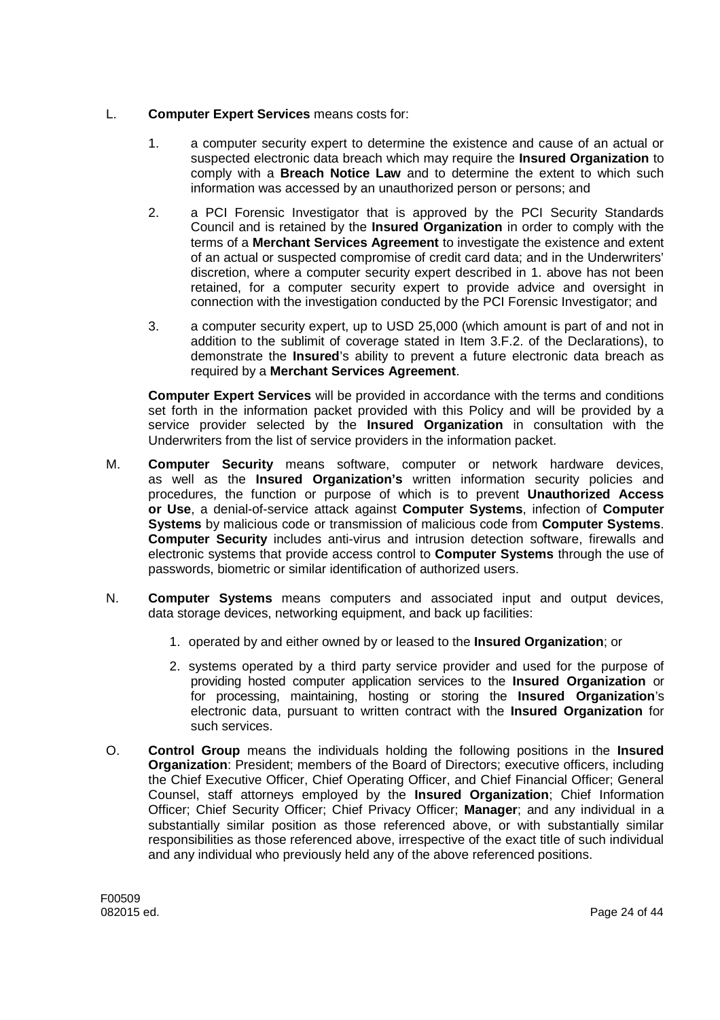# L. **Computer Expert Services** means costs for:

- 1. a computer security expert to determine the existence and cause of an actual or suspected electronic data breach which may require the **Insured Organization** to comply with a **Breach Notice Law** and to determine the extent to which such information was accessed by an unauthorized person or persons; and
- 2. a PCI Forensic Investigator that is approved by the PCI Security Standards Council and is retained by the **Insured Organization** in order to comply with the terms of a **Merchant Services Agreement** to investigate the existence and extent of an actual or suspected compromise of credit card data; and in the Underwriters' discretion, where a computer security expert described in 1. above has not been retained, for a computer security expert to provide advice and oversight in connection with the investigation conducted by the PCI Forensic Investigator; and
- 3. a computer security expert, up to USD 25,000 (which amount is part of and not in addition to the sublimit of coverage stated in Item 3.F.2. of the Declarations), to demonstrate the **Insured**'s ability to prevent a future electronic data breach as required by a **Merchant Services Agreement**.

**Computer Expert Services** will be provided in accordance with the terms and conditions set forth in the information packet provided with this Policy and will be provided by a service provider selected by the **Insured Organization** in consultation with the Underwriters from the list of service providers in the information packet.

- M. **Computer Security** means software, computer or network hardware devices, as well as the **Insured Organization's** written information security policies and procedures, the function or purpose of which is to prevent **Unauthorized Access or Use**, a denial-of-service attack against **Computer Systems**, infection of **Computer Systems** by malicious code or transmission of malicious code from **Computer Systems**. **Computer Security** includes anti-virus and intrusion detection software, firewalls and electronic systems that provide access control to **Computer Systems** through the use of passwords, biometric or similar identification of authorized users.
- N. **Computer Systems** means computers and associated input and output devices, data storage devices, networking equipment, and back up facilities:
	- 1. operated by and either owned by or leased to the **Insured Organization**; or
	- 2. systems operated by a third party service provider and used for the purpose of providing hosted computer application services to the **Insured Organization** or for processing, maintaining, hosting or storing the **Insured Organization**'s electronic data, pursuant to written contract with the **Insured Organization** for such services.
- O. **Control Group** means the individuals holding the following positions in the **Insured Organization**: President; members of the Board of Directors; executive officers, including the Chief Executive Officer, Chief Operating Officer, and Chief Financial Officer; General Counsel, staff attorneys employed by the **Insured Organization**; Chief Information Officer; Chief Security Officer; Chief Privacy Officer; **Manager**; and any individual in a substantially similar position as those referenced above, or with substantially similar responsibilities as those referenced above, irrespective of the exact title of such individual and any individual who previously held any of the above referenced positions.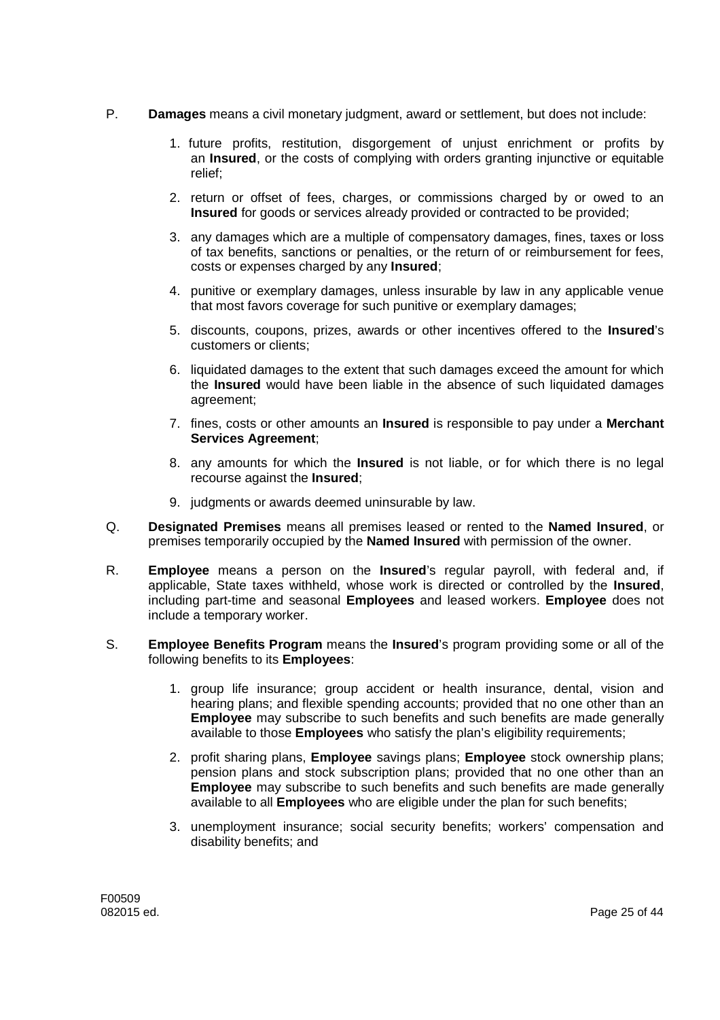- P. **Damages** means a civil monetary judgment, award or settlement, but does not include:
	- 1. future profits, restitution, disgorgement of unjust enrichment or profits by an **Insured**, or the costs of complying with orders granting injunctive or equitable relief;
	- 2. return or offset of fees, charges, or commissions charged by or owed to an **Insured** for goods or services already provided or contracted to be provided;
	- 3. any damages which are a multiple of compensatory damages, fines, taxes or loss of tax benefits, sanctions or penalties, or the return of or reimbursement for fees, costs or expenses charged by any **Insured**;
	- 4. punitive or exemplary damages, unless insurable by law in any applicable venue that most favors coverage for such punitive or exemplary damages;
	- 5. discounts, coupons, prizes, awards or other incentives offered to the **Insured**'s customers or clients;
	- 6. liquidated damages to the extent that such damages exceed the amount for which the **Insured** would have been liable in the absence of such liquidated damages agreement;
	- 7. fines, costs or other amounts an **Insured** is responsible to pay under a **Merchant Services Agreement**;
	- 8. any amounts for which the **Insured** is not liable, or for which there is no legal recourse against the **Insured**;
	- 9. judgments or awards deemed uninsurable by law.
- Q. **Designated Premises** means all premises leased or rented to the **Named Insured**, or premises temporarily occupied by the **Named Insured** with permission of the owner.
- R. **Employee** means a person on the **Insured**'s regular payroll, with federal and, if applicable, State taxes withheld, whose work is directed or controlled by the **Insured**, including part-time and seasonal **Employees** and leased workers. **Employee** does not include a temporary worker.
- S. **Employee Benefits Program** means the **Insured**'s program providing some or all of the following benefits to its **Employees**:
	- 1. group life insurance; group accident or health insurance, dental, vision and hearing plans; and flexible spending accounts; provided that no one other than an **Employee** may subscribe to such benefits and such benefits are made generally available to those **Employees** who satisfy the plan's eligibility requirements;
	- 2. profit sharing plans, **Employee** savings plans; **Employee** stock ownership plans; pension plans and stock subscription plans; provided that no one other than an **Employee** may subscribe to such benefits and such benefits are made generally available to all **Employees** who are eligible under the plan for such benefits;
	- 3. unemployment insurance; social security benefits; workers' compensation and disability benefits; and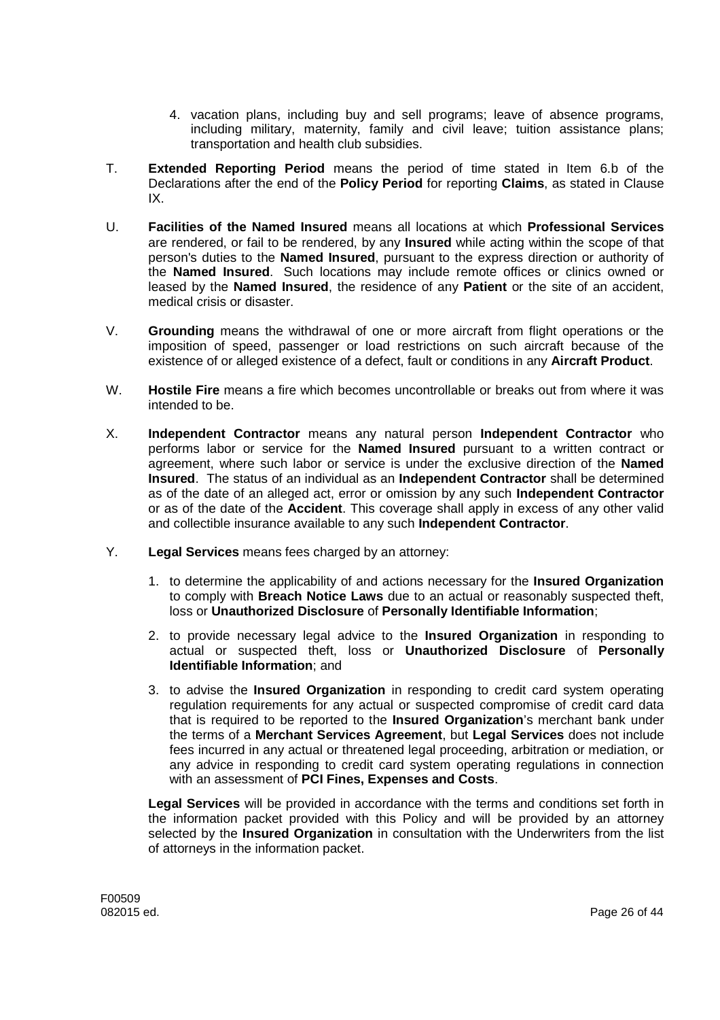- 4. vacation plans, including buy and sell programs; leave of absence programs, including military, maternity, family and civil leave; tuition assistance plans; transportation and health club subsidies.
- T. **Extended Reporting Period** means the period of time stated in Item 6.b of the Declarations after the end of the **Policy Period** for reporting **Claims**, as stated in Clause IX.
- U. **Facilities of the Named Insured** means all locations at which **Professional Services** are rendered, or fail to be rendered, by any **Insured** while acting within the scope of that person's duties to the **Named Insured**, pursuant to the express direction or authority of the **Named Insured**. Such locations may include remote offices or clinics owned or leased by the **Named Insured**, the residence of any **Patient** or the site of an accident, medical crisis or disaster.
- V. **Grounding** means the withdrawal of one or more aircraft from flight operations or the imposition of speed, passenger or load restrictions on such aircraft because of the existence of or alleged existence of a defect, fault or conditions in any **Aircraft Product**.
- W. **Hostile Fire** means a fire which becomes uncontrollable or breaks out from where it was intended to be.
- X. **Independent Contractor** means any natural person **Independent Contractor** who performs labor or service for the **Named Insured** pursuant to a written contract or agreement, where such labor or service is under the exclusive direction of the **Named Insured**. The status of an individual as an **Independent Contractor** shall be determined as of the date of an alleged act, error or omission by any such **Independent Contractor** or as of the date of the **Accident**. This coverage shall apply in excess of any other valid and collectible insurance available to any such **Independent Contractor**.
- Y. **Legal Services** means fees charged by an attorney:
	- 1. to determine the applicability of and actions necessary for the **Insured Organization** to comply with **Breach Notice Laws** due to an actual or reasonably suspected theft, loss or **Unauthorized Disclosure** of **Personally Identifiable Information**;
	- 2. to provide necessary legal advice to the **Insured Organization** in responding to actual or suspected theft, loss or **Unauthorized Disclosure** of **Personally Identifiable Information**; and
	- 3. to advise the **Insured Organization** in responding to credit card system operating regulation requirements for any actual or suspected compromise of credit card data that is required to be reported to the **Insured Organization**'s merchant bank under the terms of a **Merchant Services Agreement**, but **Legal Services** does not include fees incurred in any actual or threatened legal proceeding, arbitration or mediation, or any advice in responding to credit card system operating regulations in connection with an assessment of **PCI Fines, Expenses and Costs**.

**Legal Services** will be provided in accordance with the terms and conditions set forth in the information packet provided with this Policy and will be provided by an attorney selected by the **Insured Organization** in consultation with the Underwriters from the list of attorneys in the information packet.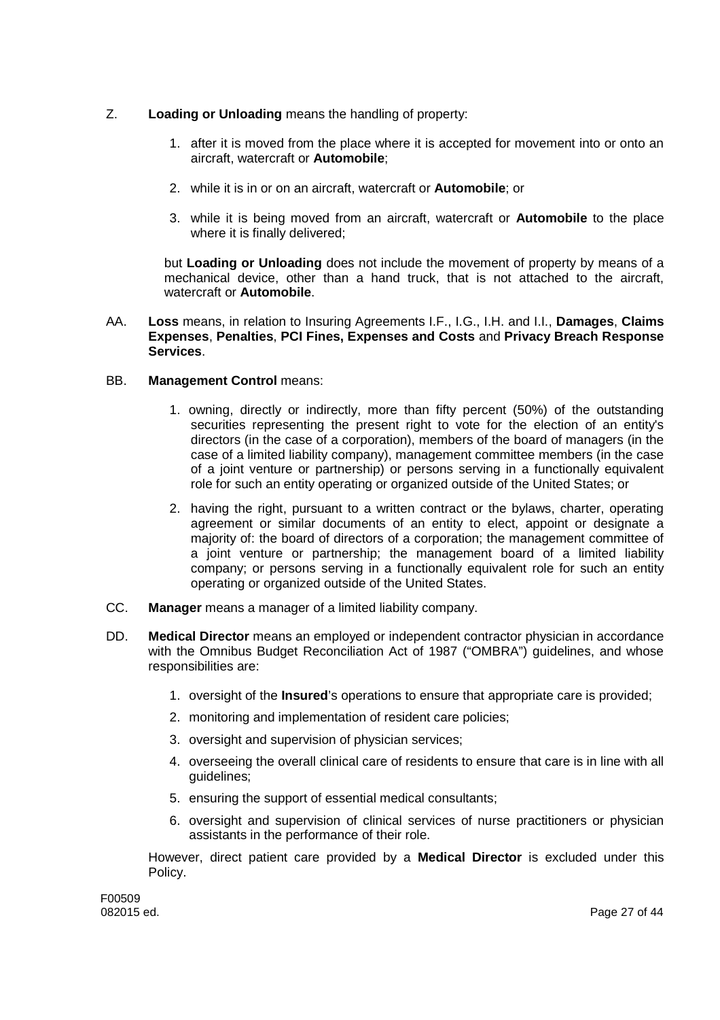- Z. **Loading or Unloading** means the handling of property:
	- 1. after it is moved from the place where it is accepted for movement into or onto an aircraft, watercraft or **Automobile**;
	- 2. while it is in or on an aircraft, watercraft or **Automobile**; or
	- 3. while it is being moved from an aircraft, watercraft or **Automobile** to the place where it is finally delivered;

but **Loading or Unloading** does not include the movement of property by means of a mechanical device, other than a hand truck, that is not attached to the aircraft, watercraft or **Automobile**.

AA. **Loss** means, in relation to Insuring Agreements I.F., I.G., I.H. and I.I., **Damages**, **Claims Expenses**, **Penalties**, **PCI Fines, Expenses and Costs** and **Privacy Breach Response Services**.

# BB. **Management Control** means:

- 1. owning, directly or indirectly, more than fifty percent (50%) of the outstanding securities representing the present right to vote for the election of an entity's directors (in the case of a corporation), members of the board of managers (in the case of a limited liability company), management committee members (in the case of a joint venture or partnership) or persons serving in a functionally equivalent role for such an entity operating or organized outside of the United States; or
- 2. having the right, pursuant to a written contract or the bylaws, charter, operating agreement or similar documents of an entity to elect, appoint or designate a majority of: the board of directors of a corporation; the management committee of a joint venture or partnership; the management board of a limited liability company; or persons serving in a functionally equivalent role for such an entity operating or organized outside of the United States.
- CC. **Manager** means a manager of a limited liability company.
- DD. **Medical Director** means an employed or independent contractor physician in accordance with the Omnibus Budget Reconciliation Act of 1987 ("OMBRA") guidelines, and whose responsibilities are:
	- 1. oversight of the **Insured**'s operations to ensure that appropriate care is provided;
	- 2. monitoring and implementation of resident care policies;
	- 3. oversight and supervision of physician services;
	- 4. overseeing the overall clinical care of residents to ensure that care is in line with all guidelines;
	- 5. ensuring the support of essential medical consultants;
	- 6. oversight and supervision of clinical services of nurse practitioners or physician assistants in the performance of their role.

However, direct patient care provided by a **Medical Director** is excluded under this Policy.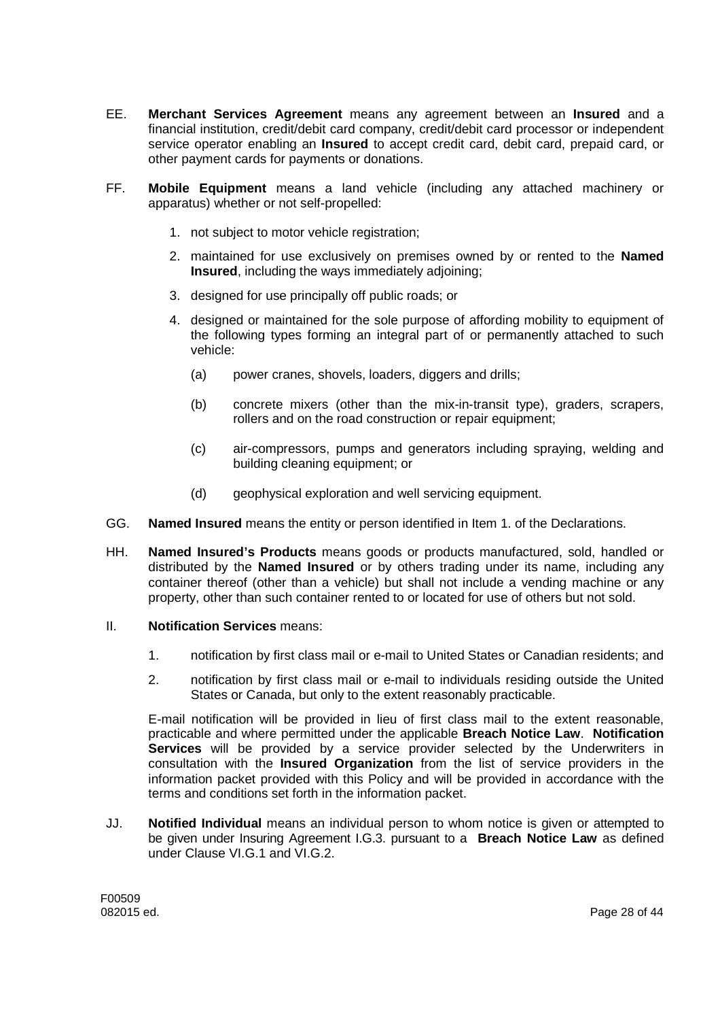- EE. **Merchant Services Agreement** means any agreement between an **Insured** and a financial institution, credit/debit card company, credit/debit card processor or independent service operator enabling an **Insured** to accept credit card, debit card, prepaid card, or other payment cards for payments or donations.
- FF. **Mobile Equipment** means a land vehicle (including any attached machinery or apparatus) whether or not self-propelled:
	- 1. not subject to motor vehicle registration;
	- 2. maintained for use exclusively on premises owned by or rented to the **Named Insured**, including the ways immediately adjoining;
	- 3. designed for use principally off public roads; or
	- 4. designed or maintained for the sole purpose of affording mobility to equipment of the following types forming an integral part of or permanently attached to such vehicle:
		- (a) power cranes, shovels, loaders, diggers and drills;
		- (b) concrete mixers (other than the mix-in-transit type), graders, scrapers, rollers and on the road construction or repair equipment:
		- (c) air-compressors, pumps and generators including spraying, welding and building cleaning equipment; or
		- (d) geophysical exploration and well servicing equipment.
- GG. **Named Insured** means the entity or person identified in Item 1. of the Declarations.
- HH. **Named Insured's Products** means goods or products manufactured, sold, handled or distributed by the **Named Insured** or by others trading under its name, including any container thereof (other than a vehicle) but shall not include a vending machine or any property, other than such container rented to or located for use of others but not sold.
- II. **Notification Services** means:
	- 1. notification by first class mail or e-mail to United States or Canadian residents; and
	- 2. notification by first class mail or e-mail to individuals residing outside the United States or Canada, but only to the extent reasonably practicable.

E-mail notification will be provided in lieu of first class mail to the extent reasonable, practicable and where permitted under the applicable **Breach Notice Law**. **Notification Services** will be provided by a service provider selected by the Underwriters in consultation with the **Insured Organization** from the list of service providers in the information packet provided with this Policy and will be provided in accordance with the terms and conditions set forth in the information packet.

JJ. **Notified Individual** means an individual person to whom notice is given or attempted to be given under Insuring Agreement I.G.3. pursuant to a **Breach Notice Law** as defined under Clause VI.G.1 and VI.G.2.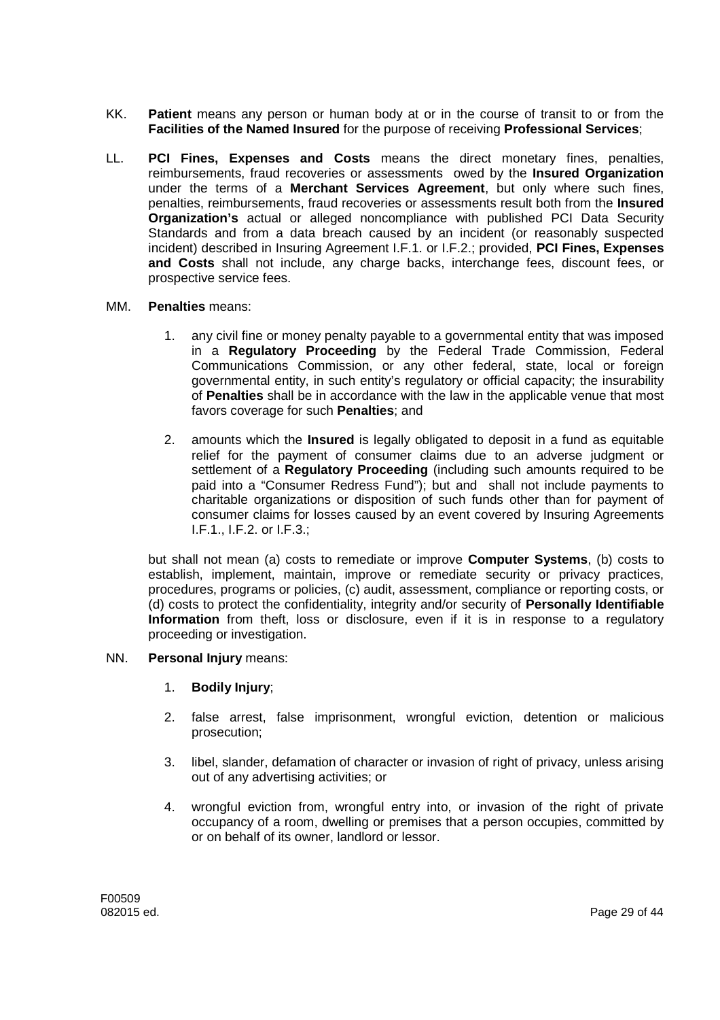- KK. **Patient** means any person or human body at or in the course of transit to or from the **Facilities of the Named Insured** for the purpose of receiving **Professional Services**;
- LL. **PCI Fines, Expenses and Costs** means the direct monetary fines, penalties, reimbursements, fraud recoveries or assessments owed by the **Insured Organization** under the terms of a **Merchant Services Agreement**, but only where such fines, penalties, reimbursements, fraud recoveries or assessments result both from the **Insured Organization's** actual or alleged noncompliance with published PCI Data Security Standards and from a data breach caused by an incident (or reasonably suspected incident) described in Insuring Agreement I.F.1. or I.F.2.; provided, **PCI Fines, Expenses and Costs** shall not include, any charge backs, interchange fees, discount fees, or prospective service fees.

### MM. **Penalties** means:

- 1. any civil fine or money penalty payable to a governmental entity that was imposed in a **Regulatory Proceeding** by the Federal Trade Commission, Federal Communications Commission, or any other federal, state, local or foreign governmental entity, in such entity's regulatory or official capacity; the insurability of **Penalties** shall be in accordance with the law in the applicable venue that most favors coverage for such **Penalties**; and
- 2. amounts which the **Insured** is legally obligated to deposit in a fund as equitable relief for the payment of consumer claims due to an adverse judgment or settlement of a **Regulatory Proceeding** (including such amounts required to be paid into a "Consumer Redress Fund"); but and shall not include payments to charitable organizations or disposition of such funds other than for payment of consumer claims for losses caused by an event covered by Insuring Agreements I.F.1., I.F.2. or I.F.3.;

but shall not mean (a) costs to remediate or improve **Computer Systems**, (b) costs to establish, implement, maintain, improve or remediate security or privacy practices, procedures, programs or policies, (c) audit, assessment, compliance or reporting costs, or (d) costs to protect the confidentiality, integrity and/or security of **Personally Identifiable Information** from theft, loss or disclosure, even if it is in response to a regulatory proceeding or investigation.

# NN. **Personal Injury** means:

- 1. **Bodily Injury**;
- 2. false arrest, false imprisonment, wrongful eviction, detention or malicious prosecution;
- 3. libel, slander, defamation of character or invasion of right of privacy, unless arising out of any advertising activities; or
- 4. wrongful eviction from, wrongful entry into, or invasion of the right of private occupancy of a room, dwelling or premises that a person occupies, committed by or on behalf of its owner, landlord or lessor.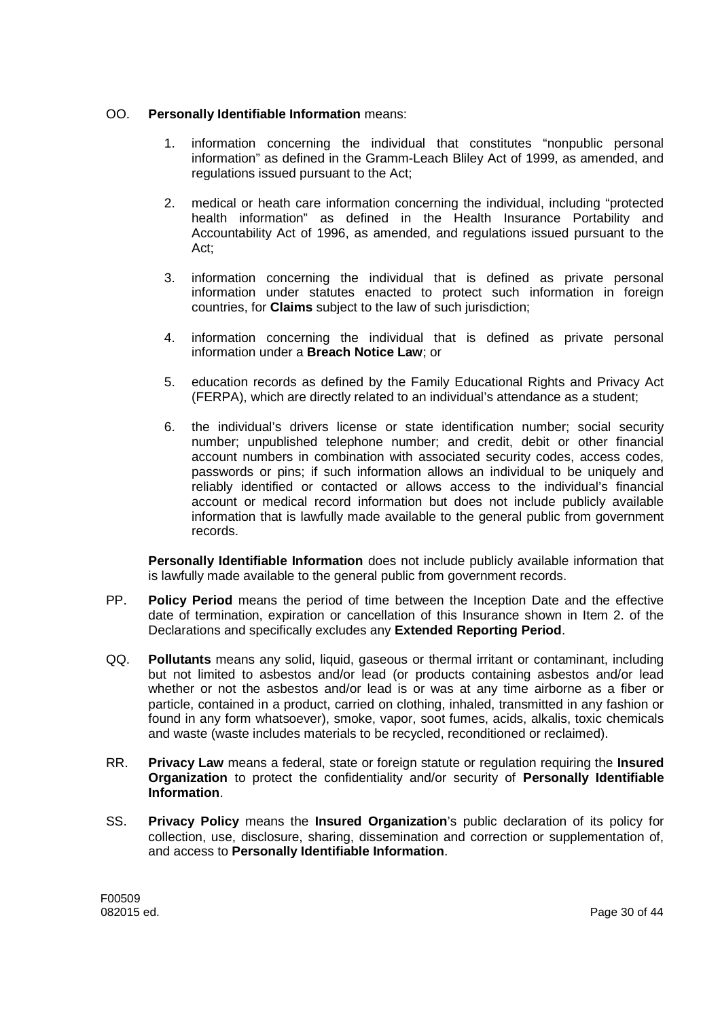# OO. **Personally Identifiable Information** means:

- 1. information concerning the individual that constitutes "nonpublic personal information" as defined in the Gramm-Leach Bliley Act of 1999, as amended, and regulations issued pursuant to the Act;
- 2. medical or heath care information concerning the individual, including "protected health information" as defined in the Health Insurance Portability and Accountability Act of 1996, as amended, and regulations issued pursuant to the Act;
- 3. information concerning the individual that is defined as private personal information under statutes enacted to protect such information in foreign countries, for **Claims** subject to the law of such jurisdiction;
- 4. information concerning the individual that is defined as private personal information under a **Breach Notice Law**; or
- 5. education records as defined by the Family Educational Rights and Privacy Act (FERPA), which are directly related to an individual's attendance as a student;
- 6. the individual's drivers license or state identification number; social security number; unpublished telephone number; and credit, debit or other financial account numbers in combination with associated security codes, access codes, passwords or pins; if such information allows an individual to be uniquely and reliably identified or contacted or allows access to the individual's financial account or medical record information but does not include publicly available information that is lawfully made available to the general public from government records.

**Personally Identifiable Information** does not include publicly available information that is lawfully made available to the general public from government records.

- PP. **Policy Period** means the period of time between the Inception Date and the effective date of termination, expiration or cancellation of this Insurance shown in Item 2. of the Declarations and specifically excludes any **Extended Reporting Period**.
- QQ. **Pollutants** means any solid, liquid, gaseous or thermal irritant or contaminant, including but not limited to asbestos and/or lead (or products containing asbestos and/or lead whether or not the asbestos and/or lead is or was at any time airborne as a fiber or particle, contained in a product, carried on clothing, inhaled, transmitted in any fashion or found in any form whatsoever), smoke, vapor, soot fumes, acids, alkalis, toxic chemicals and waste (waste includes materials to be recycled, reconditioned or reclaimed).
- RR. **Privacy Law** means a federal, state or foreign statute or regulation requiring the **Insured Organization** to protect the confidentiality and/or security of **Personally Identifiable Information**.
- SS. **Privacy Policy** means the **Insured Organization**'s public declaration of its policy for collection, use, disclosure, sharing, dissemination and correction or supplementation of, and access to **Personally Identifiable Information**.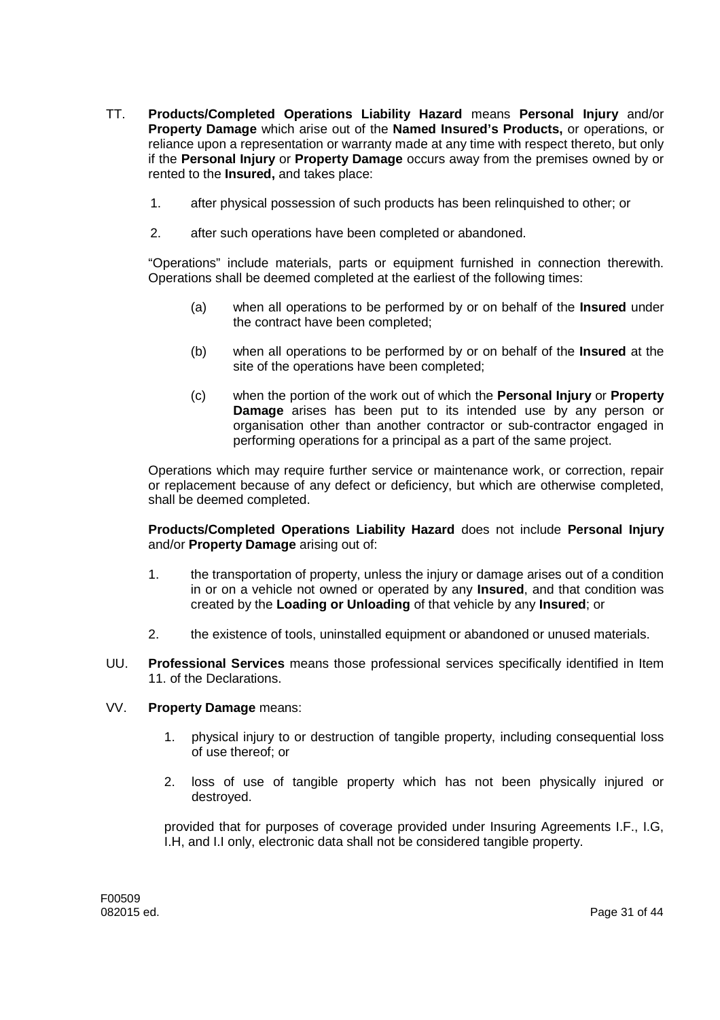- TT. **Products/Completed Operations Liability Hazard** means **Personal Injury** and/or **Property Damage** which arise out of the **Named Insured's Products,** or operations, or reliance upon a representation or warranty made at any time with respect thereto, but only if the **Personal Injury** or **Property Damage** occurs away from the premises owned by or rented to the **Insured,** and takes place:
	- 1. after physical possession of such products has been relinquished to other; or
	- 2. after such operations have been completed or abandoned.

"Operations" include materials, parts or equipment furnished in connection therewith. Operations shall be deemed completed at the earliest of the following times:

- (a) when all operations to be performed by or on behalf of the **Insured** under the contract have been completed;
- (b) when all operations to be performed by or on behalf of the **Insured** at the site of the operations have been completed;
- (c) when the portion of the work out of which the **Personal Injury** or **Property Damage** arises has been put to its intended use by any person or organisation other than another contractor or sub-contractor engaged in performing operations for a principal as a part of the same project.

Operations which may require further service or maintenance work, or correction, repair or replacement because of any defect or deficiency, but which are otherwise completed, shall be deemed completed.

**Products/Completed Operations Liability Hazard** does not include **Personal Injury** and/or **Property Damage** arising out of:

- 1. the transportation of property, unless the injury or damage arises out of a condition in or on a vehicle not owned or operated by any **Insured**, and that condition was created by the **Loading or Unloading** of that vehicle by any **Insured**; or
- 2. the existence of tools, uninstalled equipment or abandoned or unused materials.
- UU. **Professional Services** means those professional services specifically identified in Item 11. of the Declarations.

### VV. **Property Damage** means:

- 1. physical injury to or destruction of tangible property, including consequential loss of use thereof; or
- 2. loss of use of tangible property which has not been physically injured or destroyed.

provided that for purposes of coverage provided under Insuring Agreements I.F., I.G, I.H, and I.I only, electronic data shall not be considered tangible property.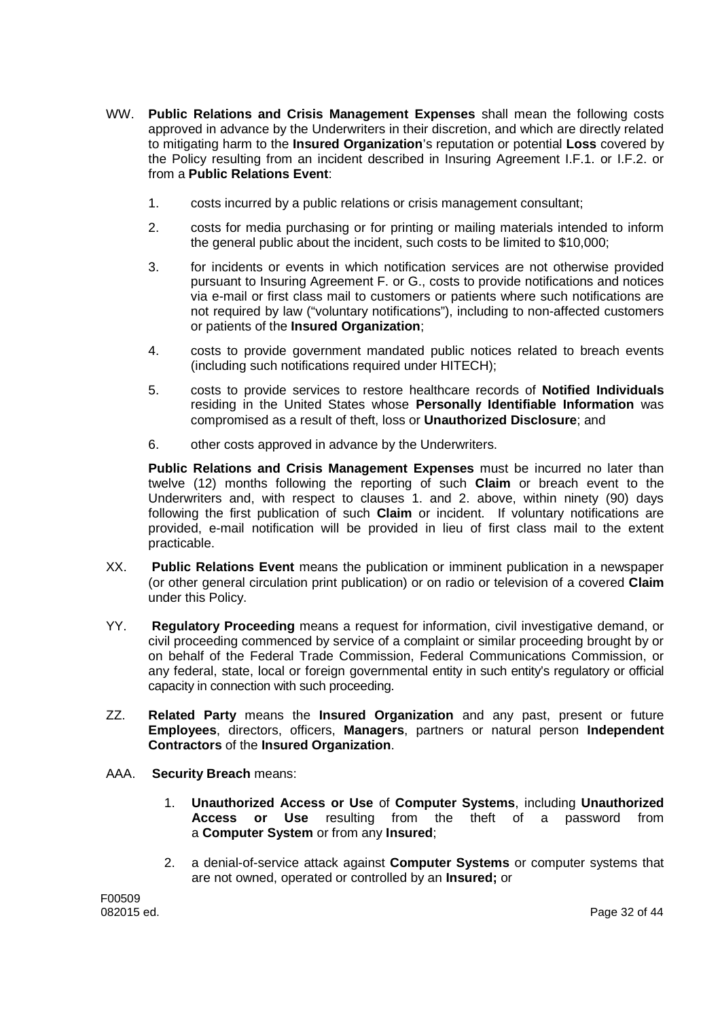- WW. **Public Relations and Crisis Management Expenses** shall mean the following costs approved in advance by the Underwriters in their discretion, and which are directly related to mitigating harm to the **Insured Organization**'s reputation or potential **Loss** covered by the Policy resulting from an incident described in Insuring Agreement I.F.1. or I.F.2. or from a **Public Relations Event**:
	- 1. costs incurred by a public relations or crisis management consultant;
	- 2. costs for media purchasing or for printing or mailing materials intended to inform the general public about the incident, such costs to be limited to \$10,000;
	- 3. for incidents or events in which notification services are not otherwise provided pursuant to Insuring Agreement F. or G., costs to provide notifications and notices via e-mail or first class mail to customers or patients where such notifications are not required by law ("voluntary notifications"), including to non-affected customers or patients of the **Insured Organization**;
	- 4. costs to provide government mandated public notices related to breach events (including such notifications required under HITECH);
	- 5. costs to provide services to restore healthcare records of **Notified Individuals** residing in the United States whose **Personally Identifiable Information** was compromised as a result of theft, loss or **Unauthorized Disclosure**; and
	- 6. other costs approved in advance by the Underwriters.

**Public Relations and Crisis Management Expenses** must be incurred no later than twelve (12) months following the reporting of such **Claim** or breach event to the Underwriters and, with respect to clauses 1. and 2. above, within ninety (90) days following the first publication of such **Claim** or incident. If voluntary notifications are provided, e-mail notification will be provided in lieu of first class mail to the extent practicable.

- XX. **Public Relations Event** means the publication or imminent publication in a newspaper (or other general circulation print publication) or on radio or television of a covered **Claim** under this Policy.
- YY. **Regulatory Proceeding** means a request for information, civil investigative demand, or civil proceeding commenced by service of a complaint or similar proceeding brought by or on behalf of the Federal Trade Commission, Federal Communications Commission, or any federal, state, local or foreign governmental entity in such entity's regulatory or official capacity in connection with such proceeding.
- ZZ. **Related Party** means the **Insured Organization** and any past, present or future **Employees**, directors, officers, **Managers**, partners or natural person **Independent Contractors** of the **Insured Organization**.
- AAA. **Security Breach** means:
	- 1. **Unauthorized Access or Use** of **Computer Systems**, including **Unauthorized Access or Use** resulting from the theft of a password from a **Computer System** or from any **Insured**;
	- 2. a denial-of-service attack against **Computer Systems** or computer systems that are not owned, operated or controlled by an **Insured;** or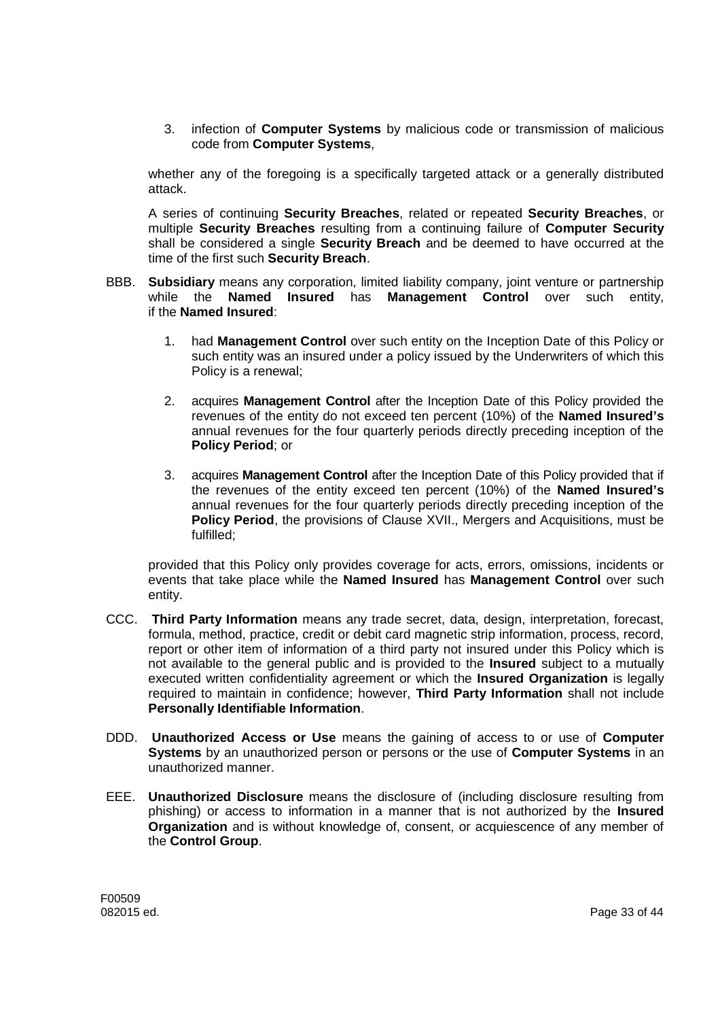3. infection of **Computer Systems** by malicious code or transmission of malicious code from **Computer Systems**,

whether any of the foregoing is a specifically targeted attack or a generally distributed attack.

A series of continuing **Security Breaches**, related or repeated **Security Breaches**, or multiple **Security Breaches** resulting from a continuing failure of **Computer Security** shall be considered a single **Security Breach** and be deemed to have occurred at the time of the first such **Security Breach**.

- BBB. **Subsidiary** means any corporation, limited liability company, joint venture or partnership while the **Named Insured** has **Management Control** over such entity, if the **Named Insured**:
	- 1. had **Management Control** over such entity on the Inception Date of this Policy or such entity was an insured under a policy issued by the Underwriters of which this Policy is a renewal;
	- 2. acquires **Management Control** after the Inception Date of this Policy provided the revenues of the entity do not exceed ten percent (10%) of the **Named Insured's** annual revenues for the four quarterly periods directly preceding inception of the **Policy Period**; or
	- 3. acquires **Management Control** after the Inception Date of this Policy provided that if the revenues of the entity exceed ten percent (10%) of the **Named Insured's** annual revenues for the four quarterly periods directly preceding inception of the **Policy Period**, the provisions of Clause XVII., Mergers and Acquisitions, must be fulfilled;

provided that this Policy only provides coverage for acts, errors, omissions, incidents or events that take place while the **Named Insured** has **Management Control** over such entity.

- CCC. **Third Party Information** means any trade secret, data, design, interpretation, forecast, formula, method, practice, credit or debit card magnetic strip information, process, record, report or other item of information of a third party not insured under this Policy which is not available to the general public and is provided to the **Insured** subject to a mutually executed written confidentiality agreement or which the **Insured Organization** is legally required to maintain in confidence; however, **Third Party Information** shall not include **Personally Identifiable Information**.
- DDD. **Unauthorized Access or Use** means the gaining of access to or use of **Computer Systems** by an unauthorized person or persons or the use of **Computer Systems** in an unauthorized manner.
- EEE. **Unauthorized Disclosure** means the disclosure of (including disclosure resulting from phishing) or access to information in a manner that is not authorized by the **Insured Organization** and is without knowledge of, consent, or acquiescence of any member of the **Control Group**.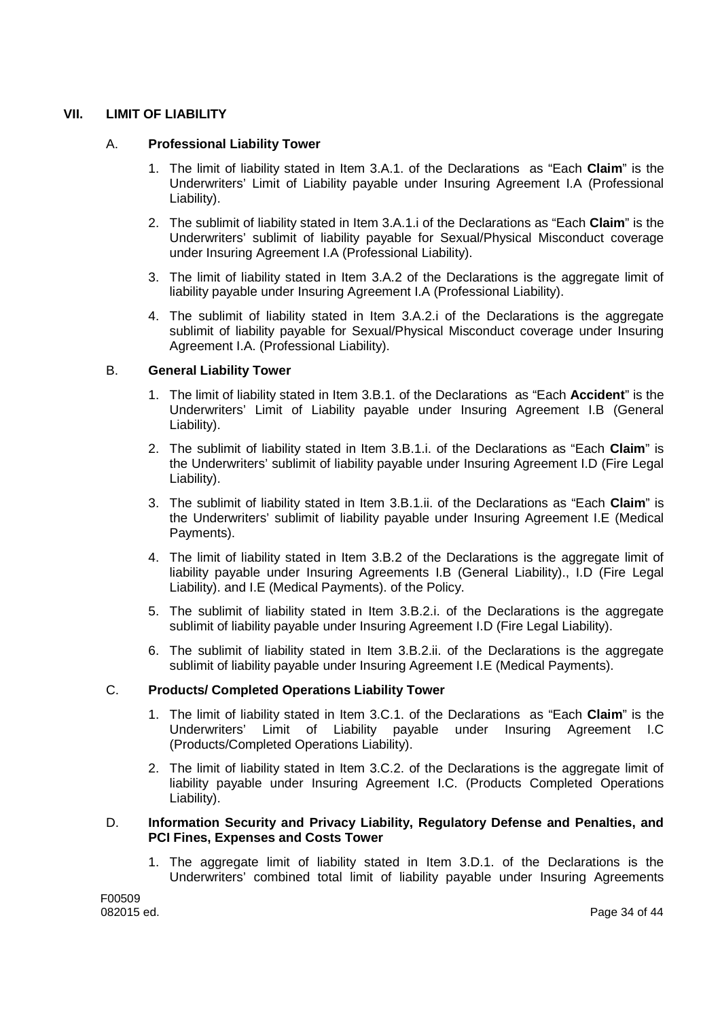# **VII. LIMIT OF LIABILITY**

### A. **Professional Liability Tower**

- 1. The limit of liability stated in Item 3.A.1. of the Declarations as "Each **Claim**" is the Underwriters' Limit of Liability payable under Insuring Agreement I.A (Professional Liability).
- 2. The sublimit of liability stated in Item 3.A.1.i of the Declarations as "Each **Claim**" is the Underwriters' sublimit of liability payable for Sexual/Physical Misconduct coverage under Insuring Agreement I.A (Professional Liability).
- 3. The limit of liability stated in Item 3.A.2 of the Declarations is the aggregate limit of liability payable under Insuring Agreement I.A (Professional Liability).
- 4. The sublimit of liability stated in Item 3.A.2.i of the Declarations is the aggregate sublimit of liability payable for Sexual/Physical Misconduct coverage under Insuring Agreement I.A. (Professional Liability).

### B. **General Liability Tower**

- 1. The limit of liability stated in Item 3.B.1. of the Declarations as "Each **Accident**" is the Underwriters' Limit of Liability payable under Insuring Agreement I.B (General Liability).
- 2. The sublimit of liability stated in Item 3.B.1.i. of the Declarations as "Each **Claim**" is the Underwriters' sublimit of liability payable under Insuring Agreement I.D (Fire Legal Liability).
- 3. The sublimit of liability stated in Item 3.B.1.ii. of the Declarations as "Each **Claim**" is the Underwriters' sublimit of liability payable under Insuring Agreement I.E (Medical Payments).
- 4. The limit of liability stated in Item 3.B.2 of the Declarations is the aggregate limit of liability payable under Insuring Agreements I.B (General Liability)., I.D (Fire Legal Liability). and I.E (Medical Payments). of the Policy.
- 5. The sublimit of liability stated in Item 3.B.2.i. of the Declarations is the aggregate sublimit of liability payable under Insuring Agreement I.D (Fire Legal Liability).
- 6. The sublimit of liability stated in Item 3.B.2.ii. of the Declarations is the aggregate sublimit of liability payable under Insuring Agreement I.E (Medical Payments).

### C. **Products/ Completed Operations Liability Tower**

- 1. The limit of liability stated in Item 3.C.1. of the Declarations as "Each **Claim**" is the Underwriters' Limit of Liability payable under Insuring Agreement I.C (Products/Completed Operations Liability).
- 2. The limit of liability stated in Item 3.C.2. of the Declarations is the aggregate limit of liability payable under Insuring Agreement I.C. (Products Completed Operations Liability).

### D. **Information Security and Privacy Liability, Regulatory Defense and Penalties, and PCI Fines, Expenses and Costs Tower**

1. The aggregate limit of liability stated in Item 3.D.1. of the Declarations is the Underwriters' combined total limit of liability payable under Insuring Agreements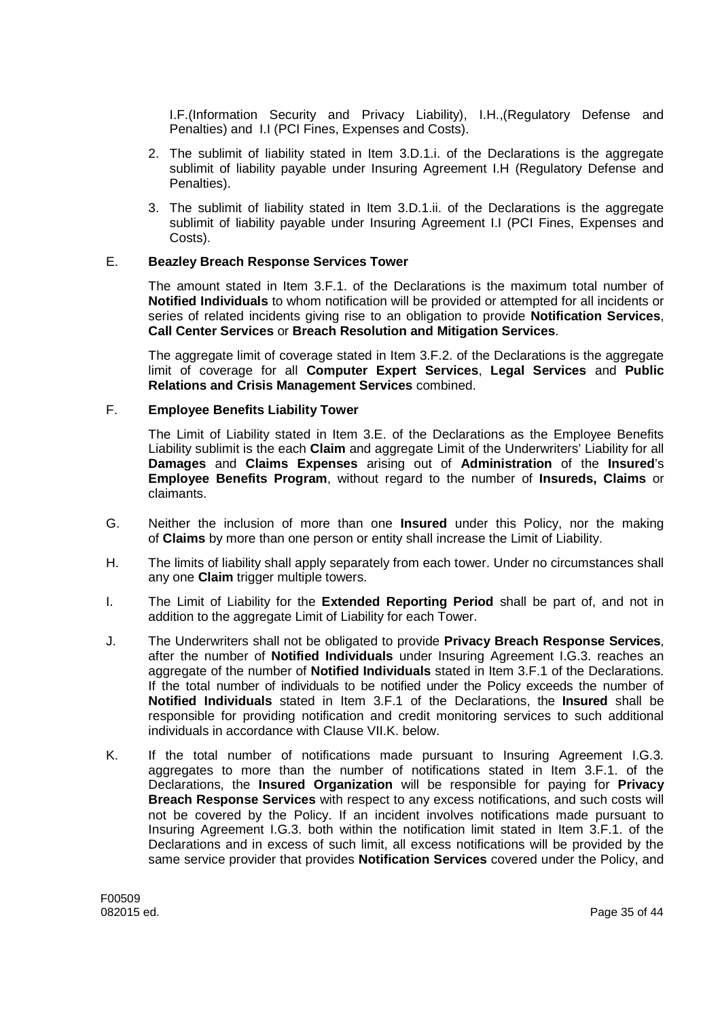I.F.(Information Security and Privacy Liability), I.H.,(Regulatory Defense and Penalties) and I.I (PCI Fines, Expenses and Costs).

- 2. The sublimit of liability stated in Item 3.D.1.i. of the Declarations is the aggregate sublimit of liability payable under Insuring Agreement I.H (Regulatory Defense and Penalties).
- 3. The sublimit of liability stated in Item 3.D.1.ii. of the Declarations is the aggregate sublimit of liability payable under Insuring Agreement I.I (PCI Fines, Expenses and Costs).

### E. **Beazley Breach Response Services Tower**

The amount stated in Item 3.F.1. of the Declarations is the maximum total number of **Notified Individuals** to whom notification will be provided or attempted for all incidents or series of related incidents giving rise to an obligation to provide **Notification Services**, **Call Center Services** or **Breach Resolution and Mitigation Services**.

The aggregate limit of coverage stated in Item 3.F.2. of the Declarations is the aggregate limit of coverage for all **Computer Expert Services**, **Legal Services** and **Public Relations and Crisis Management Services** combined.

### F. **Employee Benefits Liability Tower**

The Limit of Liability stated in Item 3.E. of the Declarations as the Employee Benefits Liability sublimit is the each **Claim** and aggregate Limit of the Underwriters' Liability for all **Damages** and **Claims Expenses** arising out of **Administration** of the **Insured**'s **Employee Benefits Program**, without regard to the number of **Insureds, Claims** or claimants.

- G. Neither the inclusion of more than one **Insured** under this Policy, nor the making of **Claims** by more than one person or entity shall increase the Limit of Liability.
- H. The limits of liability shall apply separately from each tower. Under no circumstances shall any one **Claim** trigger multiple towers.
- I. The Limit of Liability for the **Extended Reporting Period** shall be part of, and not in addition to the aggregate Limit of Liability for each Tower.
- J. The Underwriters shall not be obligated to provide **Privacy Breach Response Services**, after the number of **Notified Individuals** under Insuring Agreement I.G.3. reaches an aggregate of the number of **Notified Individuals** stated in Item 3.F.1 of the Declarations. If the total number of individuals to be notified under the Policy exceeds the number of **Notified Individuals** stated in Item 3.F.1 of the Declarations, the **Insured** shall be responsible for providing notification and credit monitoring services to such additional individuals in accordance with Clause VII.K. below.
- K. If the total number of notifications made pursuant to Insuring Agreement I.G.3. aggregates to more than the number of notifications stated in Item 3.F.1. of the Declarations, the **Insured Organization** will be responsible for paying for **Privacy Breach Response Services** with respect to any excess notifications, and such costs will not be covered by the Policy. If an incident involves notifications made pursuant to Insuring Agreement I.G.3. both within the notification limit stated in Item 3.F.1. of the Declarations and in excess of such limit, all excess notifications will be provided by the same service provider that provides **Notification Services** covered under the Policy, and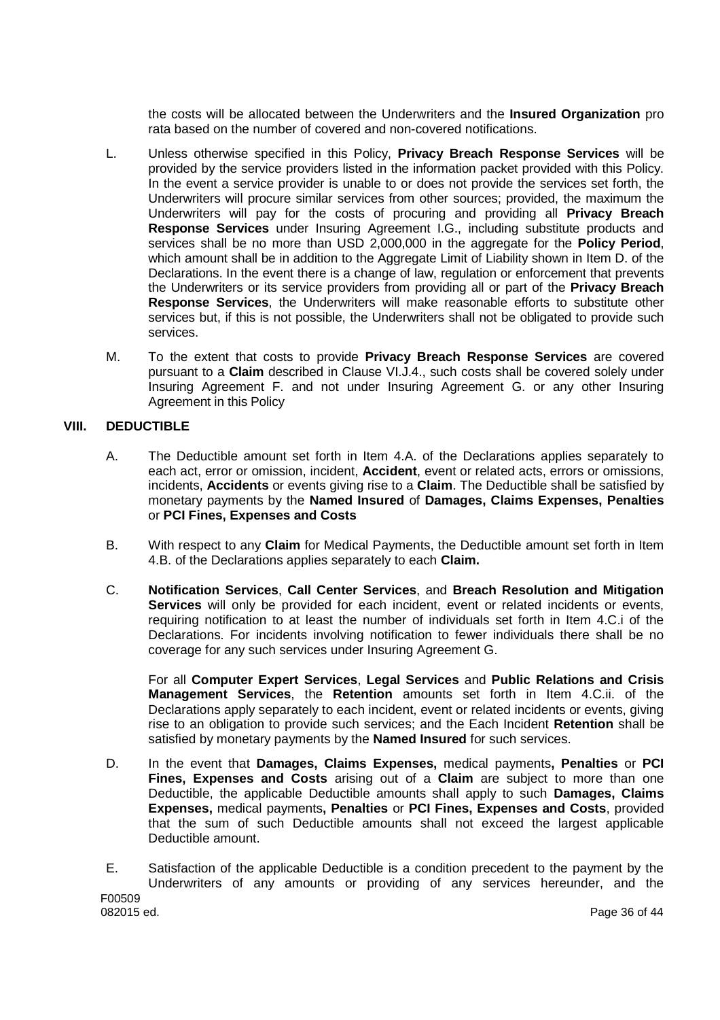the costs will be allocated between the Underwriters and the **Insured Organization** pro rata based on the number of covered and non-covered notifications.

- L. Unless otherwise specified in this Policy, **Privacy Breach Response Services** will be provided by the service providers listed in the information packet provided with this Policy. In the event a service provider is unable to or does not provide the services set forth, the Underwriters will procure similar services from other sources; provided, the maximum the Underwriters will pay for the costs of procuring and providing all **Privacy Breach Response Services** under Insuring Agreement I.G., including substitute products and services shall be no more than USD 2,000,000 in the aggregate for the **Policy Period**, which amount shall be in addition to the Aggregate Limit of Liability shown in Item D. of the Declarations. In the event there is a change of law, regulation or enforcement that prevents the Underwriters or its service providers from providing all or part of the **Privacy Breach Response Services**, the Underwriters will make reasonable efforts to substitute other services but, if this is not possible, the Underwriters shall not be obligated to provide such services.
- M. To the extent that costs to provide **Privacy Breach Response Services** are covered pursuant to a **Claim** described in Clause VI.J.4., such costs shall be covered solely under Insuring Agreement F. and not under Insuring Agreement G. or any other Insuring Agreement in this Policy

### **VIII. DEDUCTIBLE**

- A. The Deductible amount set forth in Item 4.A. of the Declarations applies separately to each act, error or omission, incident, **Accident**, event or related acts, errors or omissions, incidents, **Accidents** or events giving rise to a **Claim**. The Deductible shall be satisfied by monetary payments by the **Named Insured** of **Damages, Claims Expenses, Penalties** or **PCI Fines, Expenses and Costs**
- B. With respect to any **Claim** for Medical Payments, the Deductible amount set forth in Item 4.B. of the Declarations applies separately to each **Claim.**
- C. **Notification Services**, **Call Center Services**, and **Breach Resolution and Mitigation Services** will only be provided for each incident, event or related incidents or events, requiring notification to at least the number of individuals set forth in Item 4.C.i of the Declarations. For incidents involving notification to fewer individuals there shall be no coverage for any such services under Insuring Agreement G.

For all **Computer Expert Services**, **Legal Services** and **Public Relations and Crisis Management Services**, the **Retention** amounts set forth in Item 4.C.ii. of the Declarations apply separately to each incident, event or related incidents or events, giving rise to an obligation to provide such services; and the Each Incident **Retention** shall be satisfied by monetary payments by the **Named Insured** for such services.

- D. In the event that **Damages, Claims Expenses,** medical payments**, Penalties** or **PCI Fines, Expenses and Costs** arising out of a **Claim** are subject to more than one Deductible, the applicable Deductible amounts shall apply to such **Damages, Claims Expenses,** medical payments**, Penalties** or **PCI Fines, Expenses and Costs**, provided that the sum of such Deductible amounts shall not exceed the largest applicable Deductible amount.
- F00509 E. Satisfaction of the applicable Deductible is a condition precedent to the payment by the Underwriters of any amounts or providing of any services hereunder, and the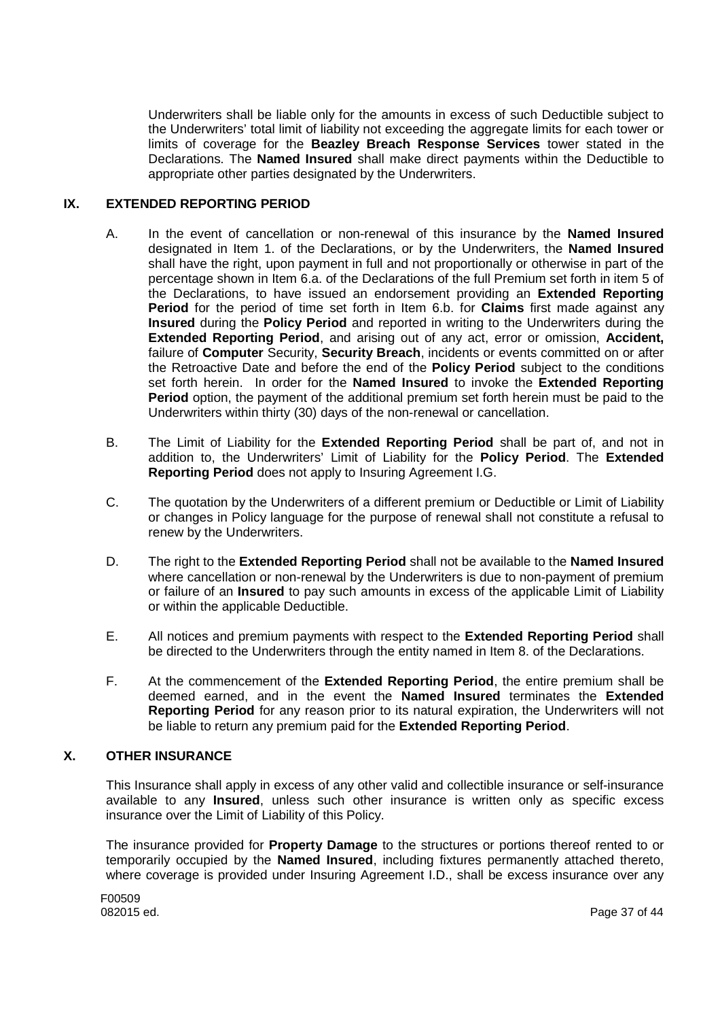Underwriters shall be liable only for the amounts in excess of such Deductible subject to the Underwriters' total limit of liability not exceeding the aggregate limits for each tower or limits of coverage for the **Beazley Breach Response Services** tower stated in the Declarations. The **Named Insured** shall make direct payments within the Deductible to appropriate other parties designated by the Underwriters.

### **IX. EXTENDED REPORTING PERIOD**

- A. In the event of cancellation or non-renewal of this insurance by the **Named Insured** designated in Item 1. of the Declarations, or by the Underwriters, the **Named Insured** shall have the right, upon payment in full and not proportionally or otherwise in part of the percentage shown in Item 6.a. of the Declarations of the full Premium set forth in item 5 of the Declarations, to have issued an endorsement providing an **Extended Reporting Period** for the period of time set forth in Item 6.b. for **Claims** first made against any **Insured** during the **Policy Period** and reported in writing to the Underwriters during the **Extended Reporting Period**, and arising out of any act, error or omission, **Accident,** failure of **Computer** Security, **Security Breach**, incidents or events committed on or after the Retroactive Date and before the end of the **Policy Period** subject to the conditions set forth herein. In order for the **Named Insured** to invoke the **Extended Reporting Period** option, the payment of the additional premium set forth herein must be paid to the Underwriters within thirty (30) days of the non-renewal or cancellation.
- B. The Limit of Liability for the **Extended Reporting Period** shall be part of, and not in addition to, the Underwriters' Limit of Liability for the **Policy Period**. The **Extended Reporting Period** does not apply to Insuring Agreement I.G.
- C. The quotation by the Underwriters of a different premium or Deductible or Limit of Liability or changes in Policy language for the purpose of renewal shall not constitute a refusal to renew by the Underwriters.
- D. The right to the **Extended Reporting Period** shall not be available to the **Named Insured** where cancellation or non-renewal by the Underwriters is due to non-payment of premium or failure of an **Insured** to pay such amounts in excess of the applicable Limit of Liability or within the applicable Deductible.
- E. All notices and premium payments with respect to the **Extended Reporting Period** shall be directed to the Underwriters through the entity named in Item 8. of the Declarations.
- F. At the commencement of the **Extended Reporting Period**, the entire premium shall be deemed earned, and in the event the **Named Insured** terminates the **Extended Reporting Period** for any reason prior to its natural expiration, the Underwriters will not be liable to return any premium paid for the **Extended Reporting Period**.

### **X. OTHER INSURANCE**

This Insurance shall apply in excess of any other valid and collectible insurance or self-insurance available to any **Insured**, unless such other insurance is written only as specific excess insurance over the Limit of Liability of this Policy.

The insurance provided for **Property Damage** to the structures or portions thereof rented to or temporarily occupied by the **Named Insured**, including fixtures permanently attached thereto, where coverage is provided under Insuring Agreement I.D., shall be excess insurance over any

F00509<br>082015 ed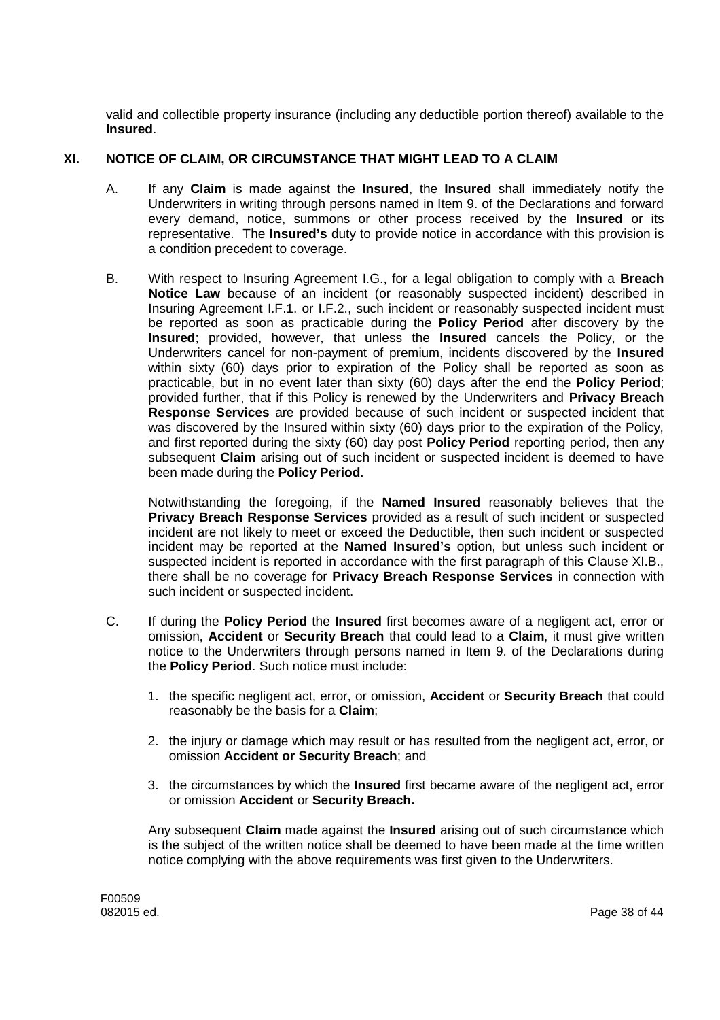valid and collectible property insurance (including any deductible portion thereof) available to the **Insured**.

# **XI. NOTICE OF CLAIM, OR CIRCUMSTANCE THAT MIGHT LEAD TO A CLAIM**

- A. If any **Claim** is made against the **Insured**, the **Insured** shall immediately notify the Underwriters in writing through persons named in Item 9. of the Declarations and forward every demand, notice, summons or other process received by the **Insured** or its representative. The **Insured's** duty to provide notice in accordance with this provision is a condition precedent to coverage.
- B. With respect to Insuring Agreement I.G., for a legal obligation to comply with a **Breach Notice Law** because of an incident (or reasonably suspected incident) described in Insuring Agreement I.F.1. or I.F.2., such incident or reasonably suspected incident must be reported as soon as practicable during the **Policy Period** after discovery by the **Insured**; provided, however, that unless the **Insured** cancels the Policy, or the Underwriters cancel for non-payment of premium, incidents discovered by the **Insured** within sixty (60) days prior to expiration of the Policy shall be reported as soon as practicable, but in no event later than sixty (60) days after the end the **Policy Period**; provided further, that if this Policy is renewed by the Underwriters and **Privacy Breach Response Services** are provided because of such incident or suspected incident that was discovered by the Insured within sixty (60) days prior to the expiration of the Policy, and first reported during the sixty (60) day post **Policy Period** reporting period, then any subsequent **Claim** arising out of such incident or suspected incident is deemed to have been made during the **Policy Period**.

Notwithstanding the foregoing, if the **Named Insured** reasonably believes that the **Privacy Breach Response Services** provided as a result of such incident or suspected incident are not likely to meet or exceed the Deductible, then such incident or suspected incident may be reported at the **Named Insured's** option, but unless such incident or suspected incident is reported in accordance with the first paragraph of this Clause XI.B., there shall be no coverage for **Privacy Breach Response Services** in connection with such incident or suspected incident.

- C. If during the **Policy Period** the **Insured** first becomes aware of a negligent act, error or omission, **Accident** or **Security Breach** that could lead to a **Claim**, it must give written notice to the Underwriters through persons named in Item 9. of the Declarations during the **Policy Period**. Such notice must include:
	- 1. the specific negligent act, error, or omission, **Accident** or **Security Breach** that could reasonably be the basis for a **Claim**;
	- 2. the injury or damage which may result or has resulted from the negligent act, error, or omission **Accident or Security Breach**; and
	- 3. the circumstances by which the **Insured** first became aware of the negligent act, error or omission **Accident** or **Security Breach.**

Any subsequent **Claim** made against the **Insured** arising out of such circumstance which is the subject of the written notice shall be deemed to have been made at the time written notice complying with the above requirements was first given to the Underwriters.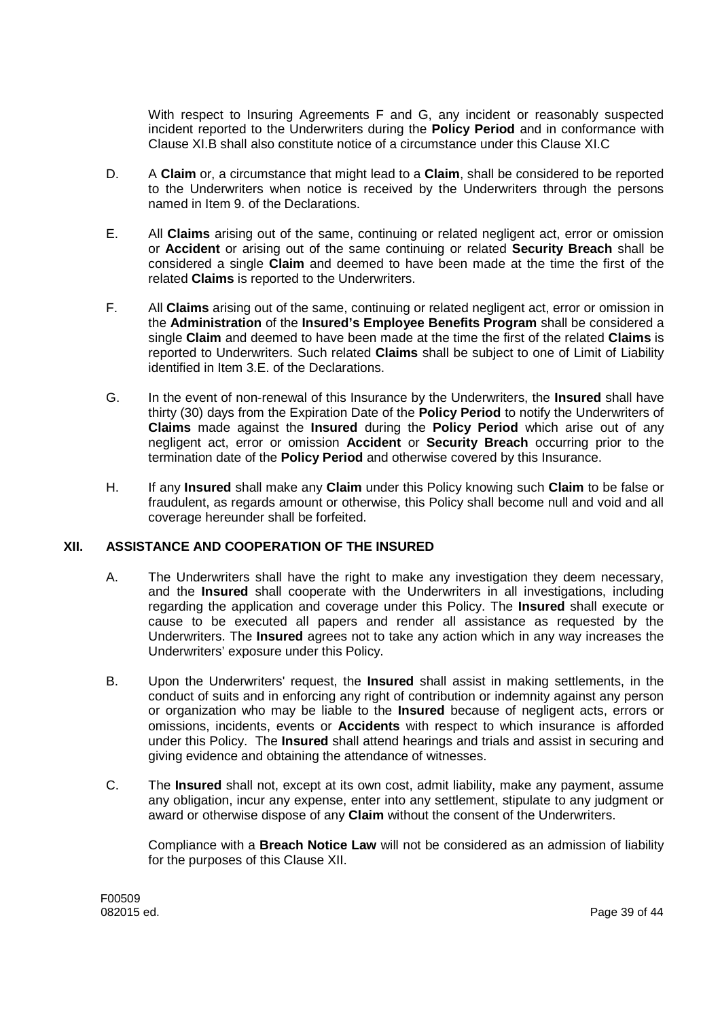With respect to Insuring Agreements F and G, any incident or reasonably suspected incident reported to the Underwriters during the **Policy Period** and in conformance with Clause XI.B shall also constitute notice of a circumstance under this Clause XI.C

- D. A **Claim** or, a circumstance that might lead to a **Claim**, shall be considered to be reported to the Underwriters when notice is received by the Underwriters through the persons named in Item 9. of the Declarations.
- E. All **Claims** arising out of the same, continuing or related negligent act, error or omission or **Accident** or arising out of the same continuing or related **Security Breach** shall be considered a single **Claim** and deemed to have been made at the time the first of the related **Claims** is reported to the Underwriters.
- F. All **Claims** arising out of the same, continuing or related negligent act, error or omission in the **Administration** of the **Insured's Employee Benefits Program** shall be considered a single **Claim** and deemed to have been made at the time the first of the related **Claims** is reported to Underwriters. Such related **Claims** shall be subject to one of Limit of Liability identified in Item 3.E. of the Declarations.
- G. In the event of non-renewal of this Insurance by the Underwriters, the **Insured** shall have thirty (30) days from the Expiration Date of the **Policy Period** to notify the Underwriters of **Claims** made against the **Insured** during the **Policy Period** which arise out of any negligent act, error or omission **Accident** or **Security Breach** occurring prior to the termination date of the **Policy Period** and otherwise covered by this Insurance.
- H. If any **Insured** shall make any **Claim** under this Policy knowing such **Claim** to be false or fraudulent, as regards amount or otherwise, this Policy shall become null and void and all coverage hereunder shall be forfeited.

### **XII. ASSISTANCE AND COOPERATION OF THE INSURED**

- A. The Underwriters shall have the right to make any investigation they deem necessary, and the **Insured** shall cooperate with the Underwriters in all investigations, including regarding the application and coverage under this Policy. The **Insured** shall execute or cause to be executed all papers and render all assistance as requested by the Underwriters. The **Insured** agrees not to take any action which in any way increases the Underwriters' exposure under this Policy.
- B. Upon the Underwriters' request, the **Insured** shall assist in making settlements, in the conduct of suits and in enforcing any right of contribution or indemnity against any person or organization who may be liable to the **Insured** because of negligent acts, errors or omissions, incidents, events or **Accidents** with respect to which insurance is afforded under this Policy. The **Insured** shall attend hearings and trials and assist in securing and giving evidence and obtaining the attendance of witnesses.
- C. The **Insured** shall not, except at its own cost, admit liability, make any payment, assume any obligation, incur any expense, enter into any settlement, stipulate to any judgment or award or otherwise dispose of any **Claim** without the consent of the Underwriters.

Compliance with a **Breach Notice Law** will not be considered as an admission of liability for the purposes of this Clause XII.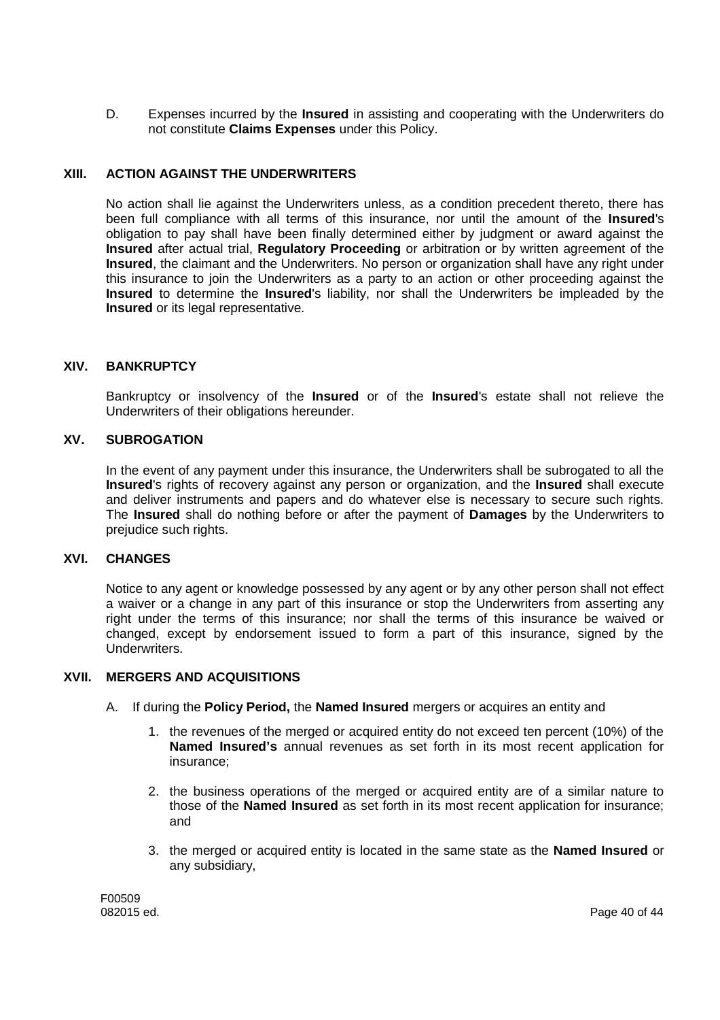D. Expenses incurred by the **Insured** in assisting and cooperating with the Underwriters do not constitute **Claims Expenses** under this Policy.

### **XIII. ACTION AGAINST THE UNDERWRITERS**

No action shall lie against the Underwriters unless, as a condition precedent thereto, there has been full compliance with all terms of this insurance, nor until the amount of the **Insured**'s obligation to pay shall have been finally determined either by judgment or award against the **Insured** after actual trial, **Regulatory Proceeding** or arbitration or by written agreement of the **Insured**, the claimant and the Underwriters. No person or organization shall have any right under this insurance to join the Underwriters as a party to an action or other proceeding against the **Insured** to determine the **Insured**'s liability, nor shall the Underwriters be impleaded by the **Insured** or its legal representative.

### **XIV. BANKRUPTCY**

Bankruptcy or insolvency of the **Insured** or of the **Insured**'s estate shall not relieve the Underwriters of their obligations hereunder.

#### **XV. SUBROGATION**

In the event of any payment under this insurance, the Underwriters shall be subrogated to all the **Insured**'s rights of recovery against any person or organization, and the **Insured** shall execute and deliver instruments and papers and do whatever else is necessary to secure such rights. The **Insured** shall do nothing before or after the payment of **Damages** by the Underwriters to prejudice such rights.

#### **XVI. CHANGES**

Notice to any agent or knowledge possessed by any agent or by any other person shall not effect a waiver or a change in any part of this insurance or stop the Underwriters from asserting any right under the terms of this insurance; nor shall the terms of this insurance be waived or changed, except by endorsement issued to form a part of this insurance, signed by the Underwriters.

#### **XVII. MERGERS AND ACQUISITIONS**

- A. If during the **Policy Period,** the **Named Insured** mergers or acquires an entity and
	- 1. the revenues of the merged or acquired entity do not exceed ten percent (10%) of the **Named Insured's** annual revenues as set forth in its most recent application for insurance;
	- 2. the business operations of the merged or acquired entity are of a similar nature to those of the **Named Insured** as set forth in its most recent application for insurance; and
	- 3. the merged or acquired entity is located in the same state as the **Named Insured** or any subsidiary,

F00509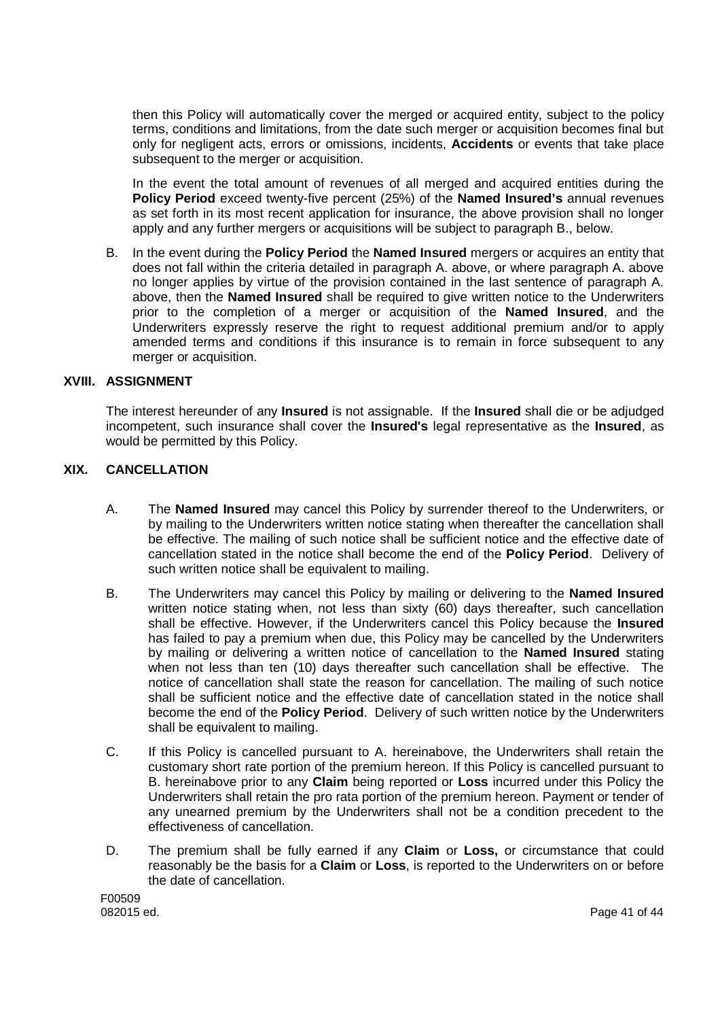then this Policy will automatically cover the merged or acquired entity, subject to the policy terms, conditions and limitations, from the date such merger or acquisition becomes final but only for negligent acts, errors or omissions, incidents, **Accidents** or events that take place subsequent to the merger or acquisition.

In the event the total amount of revenues of all merged and acquired entities during the **Policy Period** exceed twenty-five percent (25%) of the **Named Insured's** annual revenues as set forth in its most recent application for insurance, the above provision shall no longer apply and any further mergers or acquisitions will be subject to paragraph B., below.

B. In the event during the **Policy Period** the **Named Insured** mergers or acquires an entity that does not fall within the criteria detailed in paragraph A. above, or where paragraph A. above no longer applies by virtue of the provision contained in the last sentence of paragraph A. above, then the **Named Insured** shall be required to give written notice to the Underwriters prior to the completion of a merger or acquisition of the **Named Insured**, and the Underwriters expressly reserve the right to request additional premium and/or to apply amended terms and conditions if this insurance is to remain in force subsequent to any merger or acquisition.

### **XVIII. ASSIGNMENT**

The interest hereunder of any **Insured** is not assignable. If the **Insured** shall die or be adjudged incompetent, such insurance shall cover the **Insured's** legal representative as the **Insured**, as would be permitted by this Policy.

# **XIX. CANCELLATION**

- A. The **Named Insured** may cancel this Policy by surrender thereof to the Underwriters, or by mailing to the Underwriters written notice stating when thereafter the cancellation shall be effective. The mailing of such notice shall be sufficient notice and the effective date of cancellation stated in the notice shall become the end of the **Policy Period**. Delivery of such written notice shall be equivalent to mailing.
- B. The Underwriters may cancel this Policy by mailing or delivering to the **Named Insured** written notice stating when, not less than sixty (60) days thereafter, such cancellation shall be effective. However, if the Underwriters cancel this Policy because the **Insured** has failed to pay a premium when due, this Policy may be cancelled by the Underwriters by mailing or delivering a written notice of cancellation to the **Named Insured** stating when not less than ten (10) days thereafter such cancellation shall be effective. The notice of cancellation shall state the reason for cancellation. The mailing of such notice shall be sufficient notice and the effective date of cancellation stated in the notice shall become the end of the **Policy Period**. Delivery of such written notice by the Underwriters shall be equivalent to mailing.
- C. If this Policy is cancelled pursuant to A. hereinabove, the Underwriters shall retain the customary short rate portion of the premium hereon. If this Policy is cancelled pursuant to B. hereinabove prior to any **Claim** being reported or **Loss** incurred under this Policy the Underwriters shall retain the pro rata portion of the premium hereon. Payment or tender of any unearned premium by the Underwriters shall not be a condition precedent to the effectiveness of cancellation.
- D. The premium shall be fully earned if any **Claim** or **Loss,** or circumstance that could reasonably be the basis for a **Claim** or **Loss**, is reported to the Underwriters on or before the date of cancellation.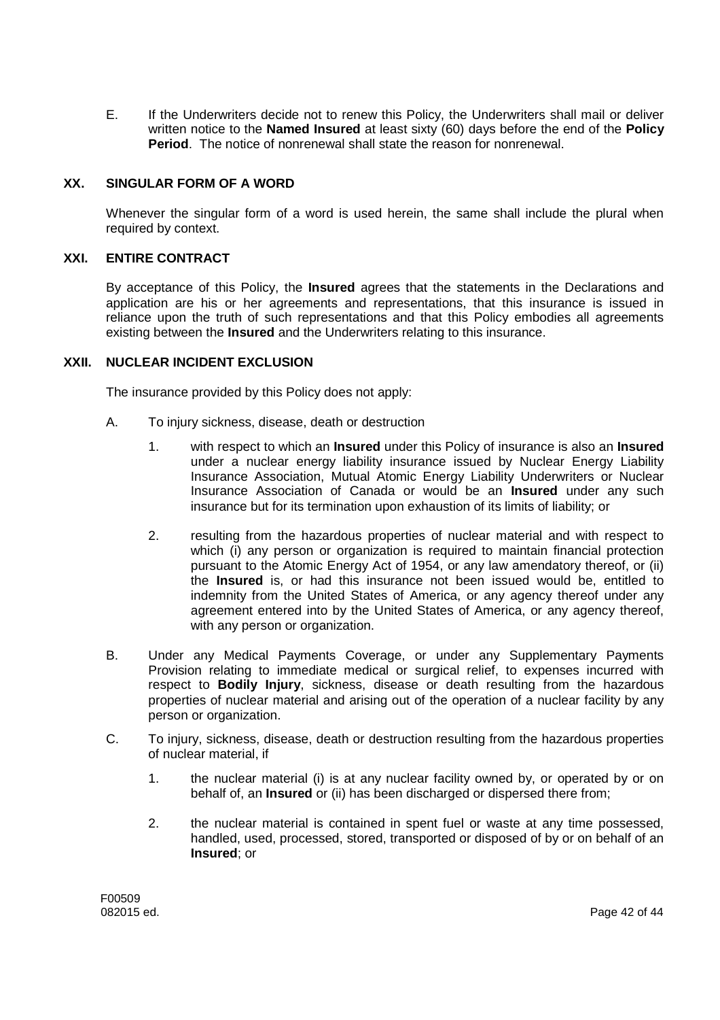E. If the Underwriters decide not to renew this Policy, the Underwriters shall mail or deliver written notice to the **Named Insured** at least sixty (60) days before the end of the **Policy Period**. The notice of nonrenewal shall state the reason for nonrenewal.

### **XX. SINGULAR FORM OF A WORD**

Whenever the singular form of a word is used herein, the same shall include the plural when required by context.

# **XXI. ENTIRE CONTRACT**

By acceptance of this Policy, the **Insured** agrees that the statements in the Declarations and application are his or her agreements and representations, that this insurance is issued in reliance upon the truth of such representations and that this Policy embodies all agreements existing between the **Insured** and the Underwriters relating to this insurance.

### **XXII. NUCLEAR INCIDENT EXCLUSION**

The insurance provided by this Policy does not apply:

- A. To injury sickness, disease, death or destruction
	- 1. with respect to which an **Insured** under this Policy of insurance is also an **Insured** under a nuclear energy liability insurance issued by Nuclear Energy Liability Insurance Association, Mutual Atomic Energy Liability Underwriters or Nuclear Insurance Association of Canada or would be an **Insured** under any such insurance but for its termination upon exhaustion of its limits of liability; or
	- 2. resulting from the hazardous properties of nuclear material and with respect to which (i) any person or organization is required to maintain financial protection pursuant to the Atomic Energy Act of 1954, or any law amendatory thereof, or (ii) the **Insured** is, or had this insurance not been issued would be, entitled to indemnity from the United States of America, or any agency thereof under any agreement entered into by the United States of America, or any agency thereof, with any person or organization.
- B. Under any Medical Payments Coverage, or under any Supplementary Payments Provision relating to immediate medical or surgical relief, to expenses incurred with respect to **Bodily Injury**, sickness, disease or death resulting from the hazardous properties of nuclear material and arising out of the operation of a nuclear facility by any person or organization.
- C. To injury, sickness, disease, death or destruction resulting from the hazardous properties of nuclear material, if
	- 1. the nuclear material (i) is at any nuclear facility owned by, or operated by or on behalf of, an **Insured** or (ii) has been discharged or dispersed there from;
	- 2. the nuclear material is contained in spent fuel or waste at any time possessed, handled, used, processed, stored, transported or disposed of by or on behalf of an **Insured**; or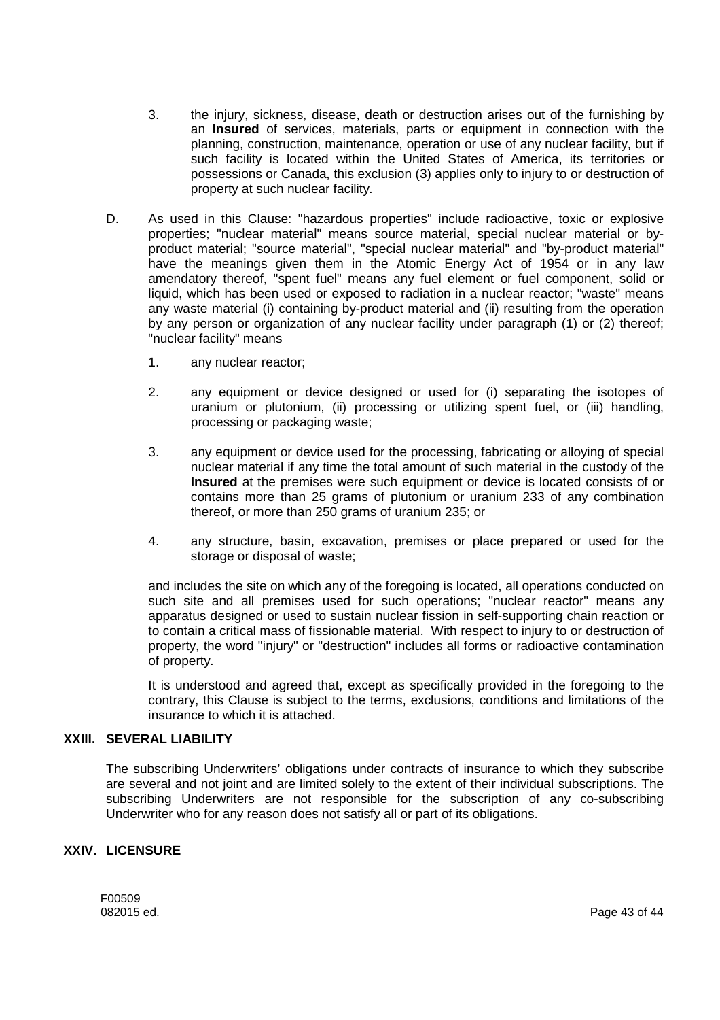- 3. the injury, sickness, disease, death or destruction arises out of the furnishing by an **Insured** of services, materials, parts or equipment in connection with the planning, construction, maintenance, operation or use of any nuclear facility, but if such facility is located within the United States of America, its territories or possessions or Canada, this exclusion (3) applies only to injury to or destruction of property at such nuclear facility.
- D. As used in this Clause: "hazardous properties" include radioactive, toxic or explosive properties; "nuclear material" means source material, special nuclear material or byproduct material; "source material", "special nuclear material" and "by-product material" have the meanings given them in the Atomic Energy Act of 1954 or in any law amendatory thereof, "spent fuel" means any fuel element or fuel component, solid or liquid, which has been used or exposed to radiation in a nuclear reactor; "waste" means any waste material (i) containing by-product material and (ii) resulting from the operation by any person or organization of any nuclear facility under paragraph (1) or (2) thereof; "nuclear facility" means
	- 1. any nuclear reactor;
	- 2. any equipment or device designed or used for (i) separating the isotopes of uranium or plutonium, (ii) processing or utilizing spent fuel, or (iii) handling, processing or packaging waste;
	- 3. any equipment or device used for the processing, fabricating or alloying of special nuclear material if any time the total amount of such material in the custody of the **Insured** at the premises were such equipment or device is located consists of or contains more than 25 grams of plutonium or uranium 233 of any combination thereof, or more than 250 grams of uranium 235; or
	- 4. any structure, basin, excavation, premises or place prepared or used for the storage or disposal of waste;

and includes the site on which any of the foregoing is located, all operations conducted on such site and all premises used for such operations; "nuclear reactor" means any apparatus designed or used to sustain nuclear fission in self-supporting chain reaction or to contain a critical mass of fissionable material. With respect to injury to or destruction of property, the word "injury" or "destruction" includes all forms or radioactive contamination of property.

It is understood and agreed that, except as specifically provided in the foregoing to the contrary, this Clause is subject to the terms, exclusions, conditions and limitations of the insurance to which it is attached.

### **XXIII. SEVERAL LIABILITY**

The subscribing Underwriters' obligations under contracts of insurance to which they subscribe are several and not joint and are limited solely to the extent of their individual subscriptions. The subscribing Underwriters are not responsible for the subscription of any co-subscribing Underwriter who for any reason does not satisfy all or part of its obligations.

### **XXIV. LICENSURE**

F00509